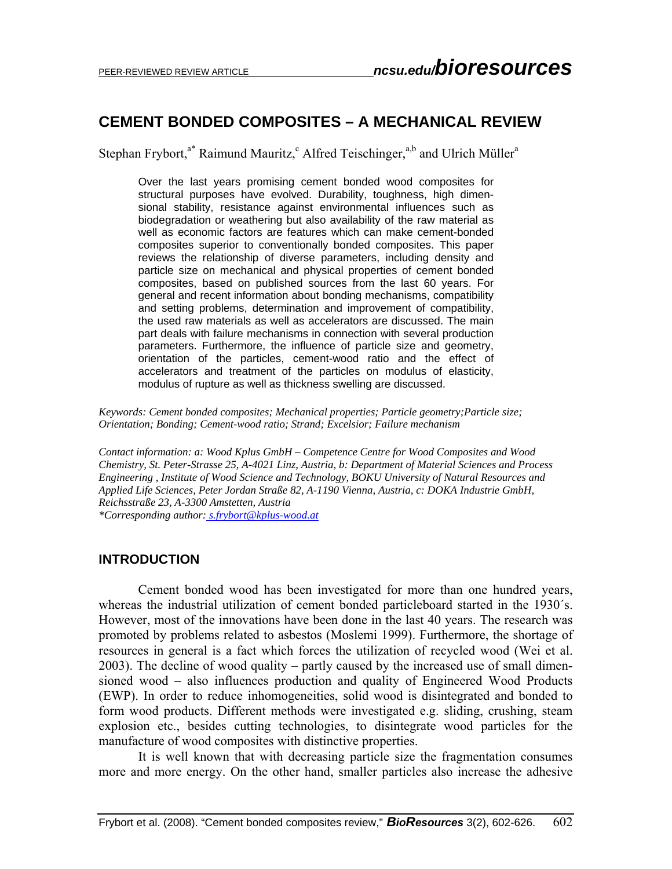# **CEMENT BONDED COMPOSITES – A MECHANICAL REVIEW**

Stephan Frybort,<sup>a\*</sup> Raimund Mauritz,<sup>c</sup> Alfred Teischinger,<sup>a,b</sup> and Ulrich Müller<sup>a</sup>

Over the last years promising cement bonded wood composites for structural purposes have evolved. Durability, toughness, high dimensional stability, resistance against environmental influences such as biodegradation or weathering but also availability of the raw material as well as economic factors are features which can make cement-bonded composites superior to conventionally bonded composites. This paper reviews the relationship of diverse parameters, including density and particle size on mechanical and physical properties of cement bonded composites, based on published sources from the last 60 years. For general and recent information about bonding mechanisms, compatibility and setting problems, determination and improvement of compatibility, the used raw materials as well as accelerators are discussed. The main part deals with failure mechanisms in connection with several production parameters. Furthermore, the influence of particle size and geometry, orientation of the particles, cement-wood ratio and the effect of accelerators and treatment of the particles on modulus of elasticity, modulus of rupture as well as thickness swelling are discussed.

*Keywords: Cement bonded composites; Mechanical properties; Particle geometry;Particle size; Orientation; Bonding; Cement-wood ratio; Strand; Excelsior; Failure mechanism* 

*Contact information: a: Wood Kplus GmbH – Competence Centre for Wood Composites and Wood Chemistry, St. Peter-Strasse 25, A-4021 Linz, Austria, b: Department of Material Sciences and Process Engineering , Institute of Wood Science and Technology, BOKU University of Natural Resources and Applied Life Sciences, Peter Jordan Straße 82, A-1190 Vienna, Austria, c: DOKA Industrie GmbH, Reichsstraße 23, A-3300 Amstetten, Austria \*Corresponding author: s.frybort@kplus-wood.at*

**INTRODUCTION** 

Cement bonded wood has been investigated for more than one hundred years, whereas the industrial utilization of cement bonded particleboard started in the 1930´s. However, most of the innovations have been done in the last 40 years. The research was promoted by problems related to asbestos (Moslemi 1999). Furthermore, the shortage of resources in general is a fact which forces the utilization of recycled wood (Wei et al. 2003). The decline of wood quality – partly caused by the increased use of small dimensioned wood – also influences production and quality of Engineered Wood Products (EWP). In order to reduce inhomogeneities, solid wood is disintegrated and bonded to form wood products. Different methods were investigated e.g. sliding, crushing, steam explosion etc., besides cutting technologies, to disintegrate wood particles for the manufacture of wood composites with distinctive properties.

It is well known that with decreasing particle size the fragmentation consumes more and more energy. On the other hand, smaller particles also increase the adhesive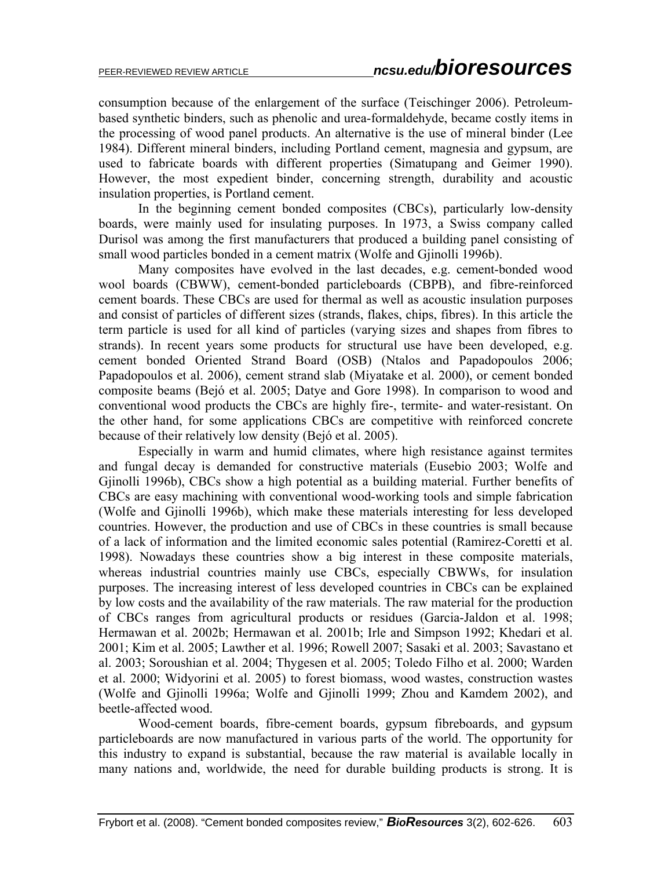consumption because of the enlargement of the surface (Teischinger 2006). Petroleumbased synthetic binders, such as phenolic and urea-formaldehyde, became costly items in the processing of wood panel products. An alternative is the use of mineral binder (Lee 1984). Different mineral binders, including Portland cement, magnesia and gypsum, are used to fabricate boards with different properties (Simatupang and Geimer 1990). However, the most expedient binder, concerning strength, durability and acoustic insulation properties, is Portland cement.

In the beginning cement bonded composites (CBCs), particularly low-density boards, were mainly used for insulating purposes. In 1973, a Swiss company called Durisol was among the first manufacturers that produced a building panel consisting of small wood particles bonded in a cement matrix (Wolfe and Gjinolli 1996b).

Many composites have evolved in the last decades, e.g. cement-bonded wood wool boards (CBWW), cement-bonded particleboards (CBPB), and fibre-reinforced cement boards. These CBCs are used for thermal as well as acoustic insulation purposes and consist of particles of different sizes (strands, flakes, chips, fibres). In this article the term particle is used for all kind of particles (varying sizes and shapes from fibres to strands). In recent years some products for structural use have been developed, e.g. cement bonded Oriented Strand Board (OSB) (Ntalos and Papadopoulos 2006; Papadopoulos et al. 2006), cement strand slab (Miyatake et al. 2000), or cement bonded composite beams (Bejó et al. 2005; Datye and Gore 1998). In comparison to wood and conventional wood products the CBCs are highly fire-, termite- and water-resistant. On the other hand, for some applications CBCs are competitive with reinforced concrete because of their relatively low density (Bejó et al. 2005).

Especially in warm and humid climates, where high resistance against termites and fungal decay is demanded for constructive materials (Eusebio 2003; Wolfe and Gjinolli 1996b), CBCs show a high potential as a building material. Further benefits of CBCs are easy machining with conventional wood-working tools and simple fabrication (Wolfe and Gjinolli 1996b), which make these materials interesting for less developed countries. However, the production and use of CBCs in these countries is small because of a lack of information and the limited economic sales potential (Ramirez-Coretti et al. 1998). Nowadays these countries show a big interest in these composite materials, whereas industrial countries mainly use CBCs, especially CBWWs, for insulation purposes. The increasing interest of less developed countries in CBCs can be explained by low costs and the availability of the raw materials. The raw material for the production of CBCs ranges from agricultural products or residues (Garcia-Jaldon et al. 1998; Hermawan et al. 2002b; Hermawan et al. 2001b; Irle and Simpson 1992; Khedari et al. 2001; Kim et al. 2005; Lawther et al. 1996; Rowell 2007; Sasaki et al. 2003; Savastano et al. 2003; Soroushian et al. 2004; Thygesen et al. 2005; Toledo Filho et al. 2000; Warden et al. 2000; Widyorini et al. 2005) to forest biomass, wood wastes, construction wastes (Wolfe and Gjinolli 1996a; Wolfe and Gjinolli 1999; Zhou and Kamdem 2002), and beetle-affected wood.

Wood-cement boards, fibre-cement boards, gypsum fibreboards, and gypsum particleboards are now manufactured in various parts of the world. The opportunity for this industry to expand is substantial, because the raw material is available locally in many nations and, worldwide, the need for durable building products is strong. It is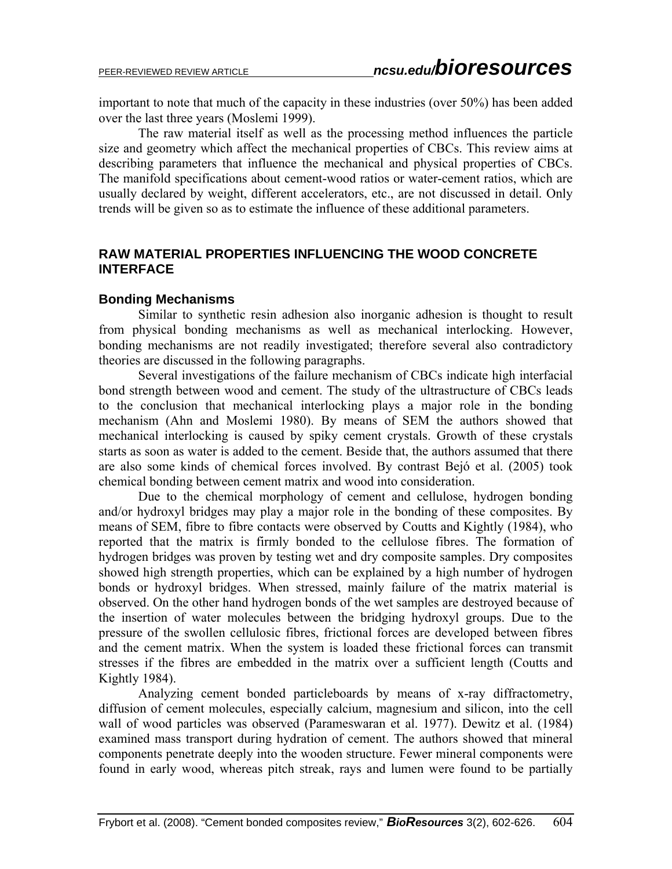important to note that much of the capacity in these industries (over 50%) has been added over the last three years (Moslemi 1999).

The raw material itself as well as the processing method influences the particle size and geometry which affect the mechanical properties of CBCs. This review aims at describing parameters that influence the mechanical and physical properties of CBCs. The manifold specifications about cement-wood ratios or water-cement ratios, which are usually declared by weight, different accelerators, etc., are not discussed in detail. Only trends will be given so as to estimate the influence of these additional parameters.

# **RAW MATERIAL PROPERTIES INFLUENCING THE WOOD CONCRETE INTERFACE**

#### **Bonding Mechanisms**

Similar to synthetic resin adhesion also inorganic adhesion is thought to result from physical bonding mechanisms as well as mechanical interlocking. However, bonding mechanisms are not readily investigated; therefore several also contradictory theories are discussed in the following paragraphs.

Several investigations of the failure mechanism of CBCs indicate high interfacial bond strength between wood and cement. The study of the ultrastructure of CBCs leads to the conclusion that mechanical interlocking plays a major role in the bonding mechanism (Ahn and Moslemi 1980). By means of SEM the authors showed that mechanical interlocking is caused by spiky cement crystals. Growth of these crystals starts as soon as water is added to the cement. Beside that, the authors assumed that there are also some kinds of chemical forces involved. By contrast Bejó et al. (2005) took chemical bonding between cement matrix and wood into consideration.

Due to the chemical morphology of cement and cellulose, hydrogen bonding and/or hydroxyl bridges may play a major role in the bonding of these composites. By means of SEM, fibre to fibre contacts were observed by Coutts and Kightly (1984), who reported that the matrix is firmly bonded to the cellulose fibres. The formation of hydrogen bridges was proven by testing wet and dry composite samples. Dry composites showed high strength properties, which can be explained by a high number of hydrogen bonds or hydroxyl bridges. When stressed, mainly failure of the matrix material is observed. On the other hand hydrogen bonds of the wet samples are destroyed because of the insertion of water molecules between the bridging hydroxyl groups. Due to the pressure of the swollen cellulosic fibres, frictional forces are developed between fibres and the cement matrix. When the system is loaded these frictional forces can transmit stresses if the fibres are embedded in the matrix over a sufficient length (Coutts and Kightly 1984).

Analyzing cement bonded particleboards by means of x-ray diffractometry, diffusion of cement molecules, especially calcium, magnesium and silicon, into the cell wall of wood particles was observed (Parameswaran et al. 1977). Dewitz et al. (1984) examined mass transport during hydration of cement. The authors showed that mineral components penetrate deeply into the wooden structure. Fewer mineral components were found in early wood, whereas pitch streak, rays and lumen were found to be partially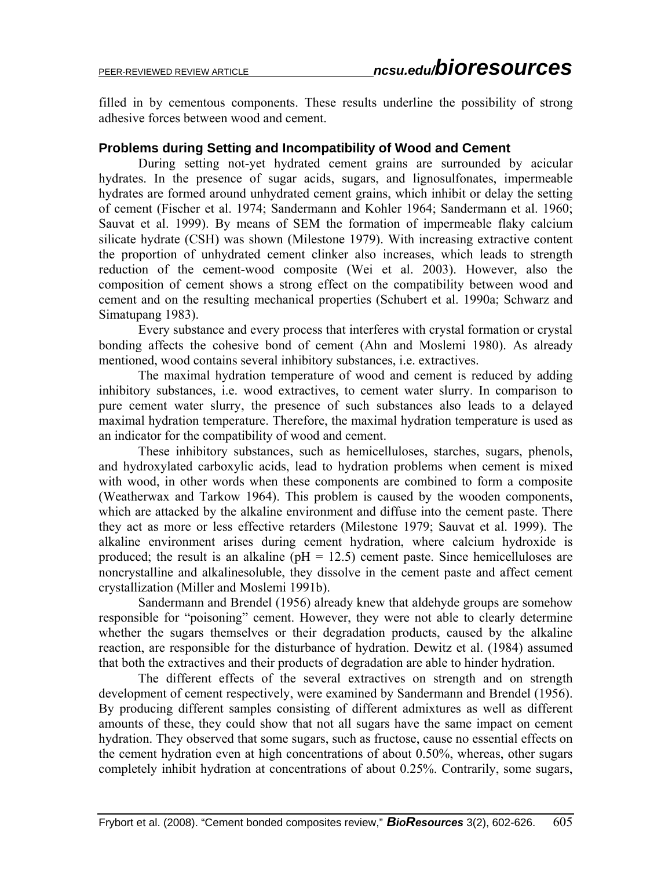filled in by cementous components. These results underline the possibility of strong adhesive forces between wood and cement.

### **Problems during Setting and Incompatibility of Wood and Cement**

During setting not-yet hydrated cement grains are surrounded by acicular hydrates. In the presence of sugar acids, sugars, and lignosulfonates, impermeable hydrates are formed around unhydrated cement grains, which inhibit or delay the setting of cement (Fischer et al. 1974; Sandermann and Kohler 1964; Sandermann et al. 1960; Sauvat et al. 1999). By means of SEM the formation of impermeable flaky calcium silicate hydrate (CSH) was shown (Milestone 1979). With increasing extractive content the proportion of unhydrated cement clinker also increases, which leads to strength reduction of the cement-wood composite (Wei et al. 2003). However, also the composition of cement shows a strong effect on the compatibility between wood and cement and on the resulting mechanical properties (Schubert et al. 1990a; Schwarz and Simatupang 1983).

Every substance and every process that interferes with crystal formation or crystal bonding affects the cohesive bond of cement (Ahn and Moslemi 1980). As already mentioned, wood contains several inhibitory substances, i.e. extractives.

The maximal hydration temperature of wood and cement is reduced by adding inhibitory substances, i.e. wood extractives, to cement water slurry. In comparison to pure cement water slurry, the presence of such substances also leads to a delayed maximal hydration temperature. Therefore, the maximal hydration temperature is used as an indicator for the compatibility of wood and cement.

These inhibitory substances, such as hemicelluloses, starches, sugars, phenols, and hydroxylated carboxylic acids, lead to hydration problems when cement is mixed with wood, in other words when these components are combined to form a composite (Weatherwax and Tarkow 1964). This problem is caused by the wooden components, which are attacked by the alkaline environment and diffuse into the cement paste. There they act as more or less effective retarders (Milestone 1979; Sauvat et al. 1999). The alkaline environment arises during cement hydration, where calcium hydroxide is produced; the result is an alkaline ( $pH = 12.5$ ) cement paste. Since hemicelluloses are noncrystalline and alkalinesoluble, they dissolve in the cement paste and affect cement crystallization (Miller and Moslemi 1991b).

Sandermann and Brendel (1956) already knew that aldehyde groups are somehow responsible for "poisoning" cement. However, they were not able to clearly determine whether the sugars themselves or their degradation products, caused by the alkaline reaction, are responsible for the disturbance of hydration. Dewitz et al. (1984) assumed that both the extractives and their products of degradation are able to hinder hydration.

The different effects of the several extractives on strength and on strength development of cement respectively, were examined by Sandermann and Brendel (1956). By producing different samples consisting of different admixtures as well as different amounts of these, they could show that not all sugars have the same impact on cement hydration. They observed that some sugars, such as fructose, cause no essential effects on the cement hydration even at high concentrations of about 0.50%, whereas, other sugars completely inhibit hydration at concentrations of about 0.25%. Contrarily, some sugars,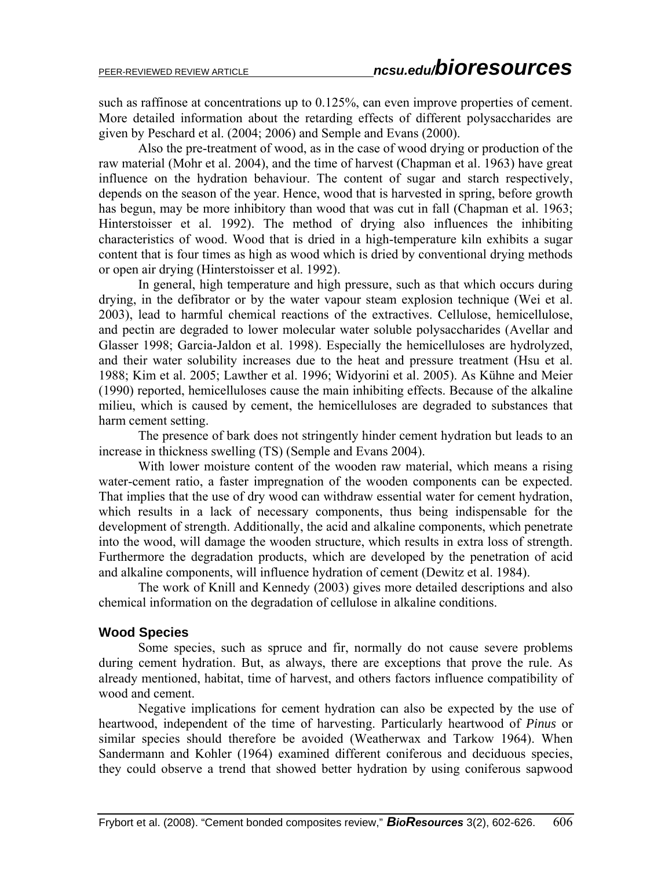such as raffinose at concentrations up to  $0.125\%$ , can even improve properties of cement. More detailed information about the retarding effects of different polysaccharides are given by Peschard et al. (2004; 2006) and Semple and Evans (2000).

Also the pre-treatment of wood, as in the case of wood drying or production of the raw material (Mohr et al. 2004), and the time of harvest (Chapman et al. 1963) have great influence on the hydration behaviour. The content of sugar and starch respectively, depends on the season of the year. Hence, wood that is harvested in spring, before growth has begun, may be more inhibitory than wood that was cut in fall (Chapman et al. 1963; Hinterstoisser et al. 1992). The method of drying also influences the inhibiting characteristics of wood. Wood that is dried in a high-temperature kiln exhibits a sugar content that is four times as high as wood which is dried by conventional drying methods or open air drying (Hinterstoisser et al. 1992).

In general, high temperature and high pressure, such as that which occurs during drying, in the defibrator or by the water vapour steam explosion technique (Wei et al. 2003), lead to harmful chemical reactions of the extractives. Cellulose, hemicellulose, and pectin are degraded to lower molecular water soluble polysaccharides (Avellar and Glasser 1998; Garcia-Jaldon et al. 1998). Especially the hemicelluloses are hydrolyzed, and their water solubility increases due to the heat and pressure treatment (Hsu et al. 1988; Kim et al. 2005; Lawther et al. 1996; Widyorini et al. 2005). As Kühne and Meier (1990) reported, hemicelluloses cause the main inhibiting effects. Because of the alkaline milieu, which is caused by cement, the hemicelluloses are degraded to substances that harm cement setting.

The presence of bark does not stringently hinder cement hydration but leads to an increase in thickness swelling (TS) (Semple and Evans 2004).

With lower moisture content of the wooden raw material, which means a rising water-cement ratio, a faster impregnation of the wooden components can be expected. That implies that the use of dry wood can withdraw essential water for cement hydration, which results in a lack of necessary components, thus being indispensable for the development of strength. Additionally, the acid and alkaline components, which penetrate into the wood, will damage the wooden structure, which results in extra loss of strength. Furthermore the degradation products, which are developed by the penetration of acid and alkaline components, will influence hydration of cement (Dewitz et al. 1984).

The work of Knill and Kennedy (2003) gives more detailed descriptions and also chemical information on the degradation of cellulose in alkaline conditions.

### **Wood Species**

Some species, such as spruce and fir, normally do not cause severe problems during cement hydration. But, as always, there are exceptions that prove the rule. As already mentioned, habitat, time of harvest, and others factors influence compatibility of wood and cement.

Negative implications for cement hydration can also be expected by the use of heartwood, independent of the time of harvesting. Particularly heartwood of *Pinus* or similar species should therefore be avoided (Weatherwax and Tarkow 1964). When Sandermann and Kohler (1964) examined different coniferous and deciduous species, they could observe a trend that showed better hydration by using coniferous sapwood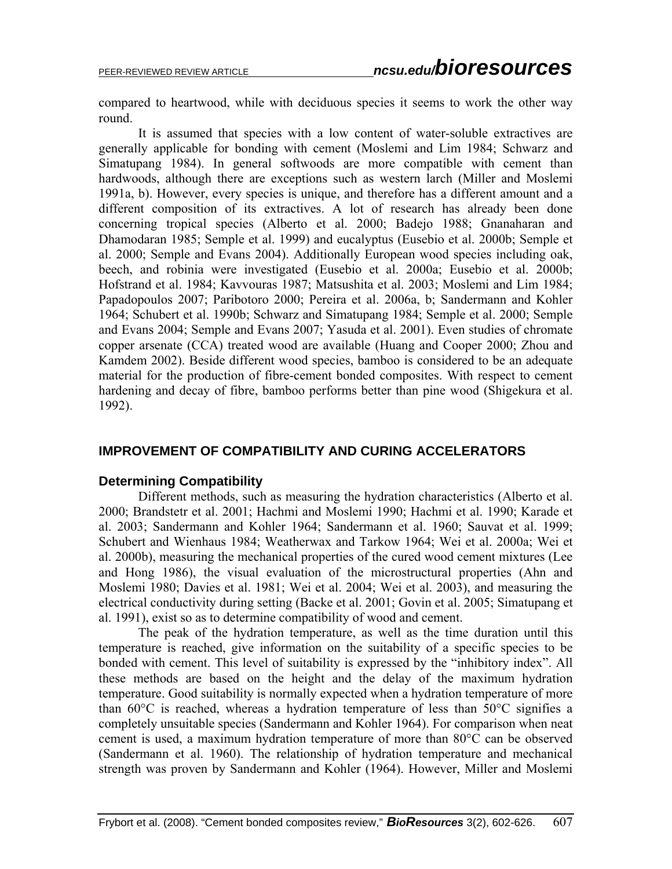compared to heartwood, while with deciduous species it seems to work the other way round.

It is assumed that species with a low content of water-soluble extractives are generally applicable for bonding with cement (Moslemi and Lim 1984; Schwarz and Simatupang 1984). In general softwoods are more compatible with cement than hardwoods, although there are exceptions such as western larch (Miller and Moslemi 1991a, b). However, every species is unique, and therefore has a different amount and a different composition of its extractives. A lot of research has already been done concerning tropical species (Alberto et al. 2000; Badejo 1988; Gnanaharan and Dhamodaran 1985; Semple et al. 1999) and eucalyptus (Eusebio et al. 2000b; Semple et al. 2000; Semple and Evans 2004). Additionally European wood species including oak, beech, and robinia were investigated (Eusebio et al. 2000a; Eusebio et al. 2000b; Hofstrand et al. 1984; Kavvouras 1987; Matsushita et al. 2003; Moslemi and Lim 1984; Papadopoulos 2007; Paribotoro 2000; Pereira et al. 2006a, b; Sandermann and Kohler 1964; Schubert et al. 1990b; Schwarz and Simatupang 1984; Semple et al. 2000; Semple and Evans 2004; Semple and Evans 2007; Yasuda et al. 2001). Even studies of chromate copper arsenate (CCA) treated wood are available (Huang and Cooper 2000; Zhou and Kamdem 2002). Beside different wood species, bamboo is considered to be an adequate material for the production of fibre-cement bonded composites. With respect to cement hardening and decay of fibre, bamboo performs better than pine wood (Shigekura et al. 1992).

# **IMPROVEMENT OF COMPATIBILITY AND CURING ACCELERATORS**

# **Determining Compatibility**

Different methods, such as measuring the hydration characteristics (Alberto et al. 2000; Brandstetr et al. 2001; Hachmi and Moslemi 1990; Hachmi et al. 1990; Karade et al. 2003; Sandermann and Kohler 1964; Sandermann et al. 1960; Sauvat et al. 1999; Schubert and Wienhaus 1984; Weatherwax and Tarkow 1964; Wei et al. 2000a; Wei et al. 2000b), measuring the mechanical properties of the cured wood cement mixtures (Lee and Hong 1986), the visual evaluation of the microstructural properties (Ahn and Moslemi 1980; Davies et al. 1981; Wei et al. 2004; Wei et al. 2003), and measuring the electrical conductivity during setting (Backe et al. 2001; Govin et al. 2005; Simatupang et al. 1991), exist so as to determine compatibility of wood and cement.

The peak of the hydration temperature, as well as the time duration until this temperature is reached, give information on the suitability of a specific species to be bonded with cement. This level of suitability is expressed by the "inhibitory index". All these methods are based on the height and the delay of the maximum hydration temperature. Good suitability is normally expected when a hydration temperature of more than  $60^{\circ}$ C is reached, whereas a hydration temperature of less than  $50^{\circ}$ C signifies a completely unsuitable species (Sandermann and Kohler 1964). For comparison when neat cement is used, a maximum hydration temperature of more than 80°C can be observed (Sandermann et al. 1960). The relationship of hydration temperature and mechanical strength was proven by Sandermann and Kohler (1964). However, Miller and Moslemi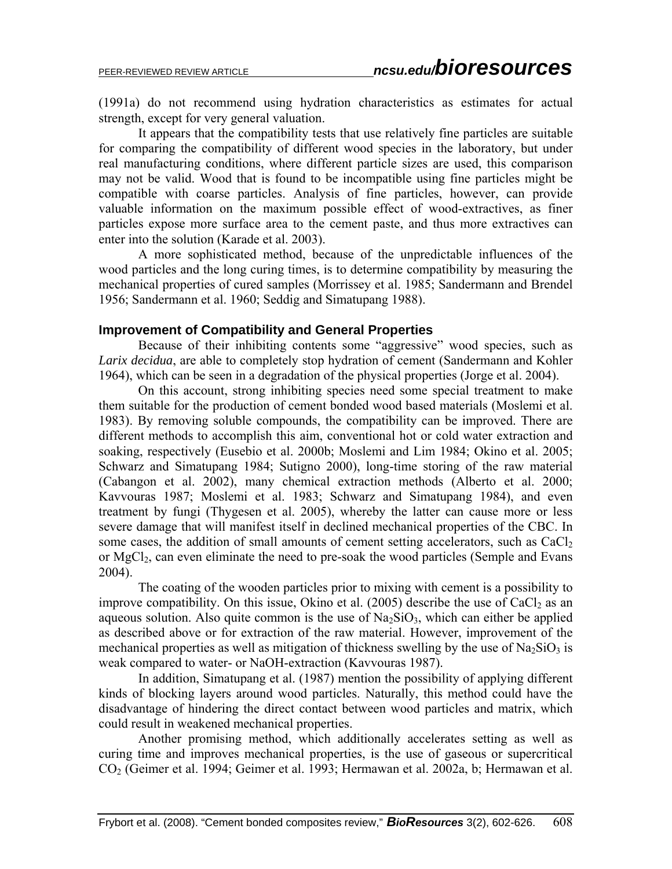(1991a) do not recommend using hydration characteristics as estimates for actual strength, except for very general valuation.

It appears that the compatibility tests that use relatively fine particles are suitable for comparing the compatibility of different wood species in the laboratory, but under real manufacturing conditions, where different particle sizes are used, this comparison may not be valid. Wood that is found to be incompatible using fine particles might be compatible with coarse particles. Analysis of fine particles, however, can provide valuable information on the maximum possible effect of wood-extractives, as finer particles expose more surface area to the cement paste, and thus more extractives can enter into the solution (Karade et al. 2003).

A more sophisticated method, because of the unpredictable influences of the wood particles and the long curing times, is to determine compatibility by measuring the mechanical properties of cured samples (Morrissey et al. 1985; Sandermann and Brendel 1956; Sandermann et al. 1960; Seddig and Simatupang 1988).

#### **Improvement of Compatibility and General Properties**

Because of their inhibiting contents some "aggressive" wood species, such as *Larix decidua*, are able to completely stop hydration of cement (Sandermann and Kohler 1964), which can be seen in a degradation of the physical properties (Jorge et al. 2004).

On this account, strong inhibiting species need some special treatment to make them suitable for the production of cement bonded wood based materials (Moslemi et al. 1983). By removing soluble compounds, the compatibility can be improved. There are different methods to accomplish this aim, conventional hot or cold water extraction and soaking, respectively (Eusebio et al. 2000b; Moslemi and Lim 1984; Okino et al. 2005; Schwarz and Simatupang 1984; Sutigno 2000), long-time storing of the raw material (Cabangon et al. 2002), many chemical extraction methods (Alberto et al. 2000; Kavvouras 1987; Moslemi et al. 1983; Schwarz and Simatupang 1984), and even treatment by fungi (Thygesen et al. 2005), whereby the latter can cause more or less severe damage that will manifest itself in declined mechanical properties of the CBC. In some cases, the addition of small amounts of cement setting accelerators, such as  $CaCl<sub>2</sub>$ or MgCl<sub>2</sub>, can even eliminate the need to pre-soak the wood particles (Semple and Evans 2004).

The coating of the wooden particles prior to mixing with cement is a possibility to improve compatibility. On this issue, Okino et al.  $(2005)$  describe the use of CaCl<sub>2</sub> as an aqueous solution. Also quite common is the use of  $Na<sub>2</sub>SiO<sub>3</sub>$ , which can either be applied as described above or for extraction of the raw material. However, improvement of the mechanical properties as well as mitigation of thickness swelling by the use of  $Na<sub>2</sub>SiO<sub>3</sub>$  is weak compared to water- or NaOH-extraction (Kavvouras 1987).

In addition, Simatupang et al. (1987) mention the possibility of applying different kinds of blocking layers around wood particles. Naturally, this method could have the disadvantage of hindering the direct contact between wood particles and matrix, which could result in weakened mechanical properties.

Another promising method, which additionally accelerates setting as well as curing time and improves mechanical properties, is the use of gaseous or supercritical CO2 (Geimer et al. 1994; Geimer et al. 1993; Hermawan et al. 2002a, b; Hermawan et al.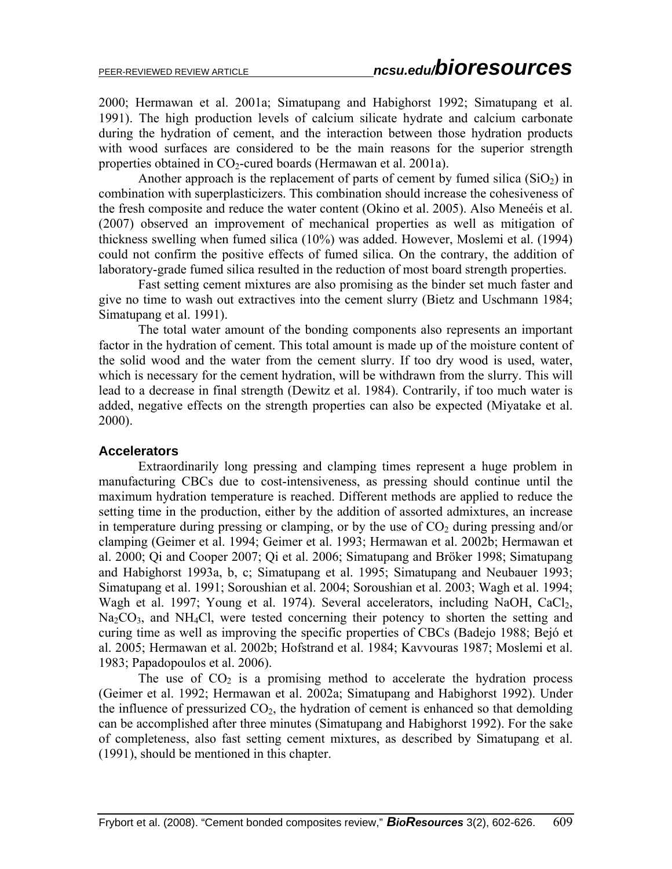2000; Hermawan et al. 2001a; Simatupang and Habighorst 1992; Simatupang et al. 1991). The high production levels of calcium silicate hydrate and calcium carbonate during the hydration of cement, and the interaction between those hydration products with wood surfaces are considered to be the main reasons for the superior strength properties obtained in  $CO<sub>2</sub>$ -cured boards (Hermawan et al. 2001a).

Another approach is the replacement of parts of cement by fumed silica  $(SiO<sub>2</sub>)$  in combination with superplasticizers. This combination should increase the cohesiveness of the fresh composite and reduce the water content (Okino et al. 2005). Also Meneéis et al. (2007) observed an improvement of mechanical properties as well as mitigation of thickness swelling when fumed silica (10%) was added. However, Moslemi et al. (1994) could not confirm the positive effects of fumed silica. On the contrary, the addition of laboratory-grade fumed silica resulted in the reduction of most board strength properties.

Fast setting cement mixtures are also promising as the binder set much faster and give no time to wash out extractives into the cement slurry (Bietz and Uschmann 1984; Simatupang et al. 1991).

 The total water amount of the bonding components also represents an important factor in the hydration of cement. This total amount is made up of the moisture content of the solid wood and the water from the cement slurry. If too dry wood is used, water, which is necessary for the cement hydration, will be withdrawn from the slurry. This will lead to a decrease in final strength (Dewitz et al. 1984). Contrarily, if too much water is added, negative effects on the strength properties can also be expected (Miyatake et al. 2000).

#### **Accelerators**

 Extraordinarily long pressing and clamping times represent a huge problem in manufacturing CBCs due to cost-intensiveness, as pressing should continue until the maximum hydration temperature is reached. Different methods are applied to reduce the setting time in the production, either by the addition of assorted admixtures, an increase in temperature during pressing or clamping, or by the use of  $CO<sub>2</sub>$  during pressing and/or clamping (Geimer et al. 1994; Geimer et al. 1993; Hermawan et al. 2002b; Hermawan et al. 2000; Qi and Cooper 2007; Qi et al. 2006; Simatupang and Bröker 1998; Simatupang and Habighorst 1993a, b, c; Simatupang et al. 1995; Simatupang and Neubauer 1993; Simatupang et al. 1991; Soroushian et al. 2004; Soroushian et al. 2003; Wagh et al. 1994; Wagh et al. 1997; Young et al. 1974). Several accelerators, including NaOH, CaCl<sub>2</sub>,  $Na<sub>2</sub>CO<sub>3</sub>$ , and NH<sub>4</sub>Cl, were tested concerning their potency to shorten the setting and curing time as well as improving the specific properties of CBCs (Badejo 1988; Bejó et al. 2005; Hermawan et al. 2002b; Hofstrand et al. 1984; Kavvouras 1987; Moslemi et al. 1983; Papadopoulos et al. 2006).

The use of  $CO<sub>2</sub>$  is a promising method to accelerate the hydration process (Geimer et al. 1992; Hermawan et al. 2002a; Simatupang and Habighorst 1992). Under the influence of pressurized  $CO<sub>2</sub>$ , the hydration of cement is enhanced so that demolding can be accomplished after three minutes (Simatupang and Habighorst 1992). For the sake of completeness, also fast setting cement mixtures, as described by Simatupang et al. (1991), should be mentioned in this chapter.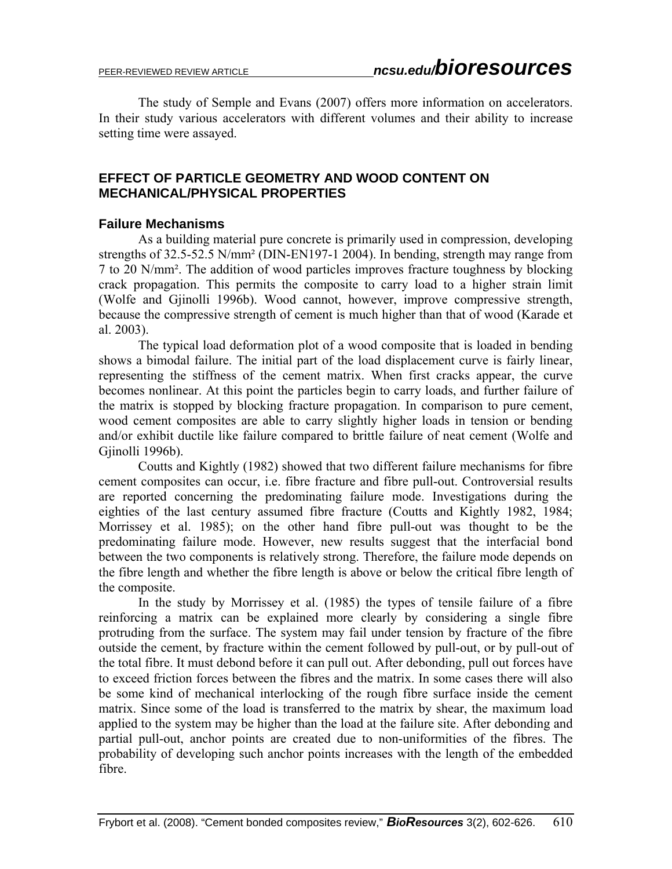The study of Semple and Evans (2007) offers more information on accelerators. In their study various accelerators with different volumes and their ability to increase setting time were assayed.

# **EFFECT OF PARTICLE GEOMETRY AND WOOD CONTENT ON MECHANICAL/PHYSICAL PROPERTIES**

### **Failure Mechanisms**

 As a building material pure concrete is primarily used in compression, developing strengths of 32.5-52.5 N/mm² (DIN-EN197-1 2004). In bending, strength may range from 7 to 20 N/mm². The addition of wood particles improves fracture toughness by blocking crack propagation. This permits the composite to carry load to a higher strain limit (Wolfe and Gjinolli 1996b). Wood cannot, however, improve compressive strength, because the compressive strength of cement is much higher than that of wood (Karade et al. 2003).

 The typical load deformation plot of a wood composite that is loaded in bending shows a bimodal failure. The initial part of the load displacement curve is fairly linear, representing the stiffness of the cement matrix. When first cracks appear, the curve becomes nonlinear. At this point the particles begin to carry loads, and further failure of the matrix is stopped by blocking fracture propagation. In comparison to pure cement, wood cement composites are able to carry slightly higher loads in tension or bending and/or exhibit ductile like failure compared to brittle failure of neat cement (Wolfe and Gjinolli 1996b).

 Coutts and Kightly (1982) showed that two different failure mechanisms for fibre cement composites can occur, i.e. fibre fracture and fibre pull-out. Controversial results are reported concerning the predominating failure mode. Investigations during the eighties of the last century assumed fibre fracture (Coutts and Kightly 1982, 1984; Morrissey et al. 1985); on the other hand fibre pull-out was thought to be the predominating failure mode. However, new results suggest that the interfacial bond between the two components is relatively strong. Therefore, the failure mode depends on the fibre length and whether the fibre length is above or below the critical fibre length of the composite.

 In the study by Morrissey et al. (1985) the types of tensile failure of a fibre reinforcing a matrix can be explained more clearly by considering a single fibre protruding from the surface. The system may fail under tension by fracture of the fibre outside the cement, by fracture within the cement followed by pull-out, or by pull-out of the total fibre. It must debond before it can pull out. After debonding, pull out forces have to exceed friction forces between the fibres and the matrix. In some cases there will also be some kind of mechanical interlocking of the rough fibre surface inside the cement matrix. Since some of the load is transferred to the matrix by shear, the maximum load applied to the system may be higher than the load at the failure site. After debonding and partial pull-out, anchor points are created due to non-uniformities of the fibres. The probability of developing such anchor points increases with the length of the embedded fibre.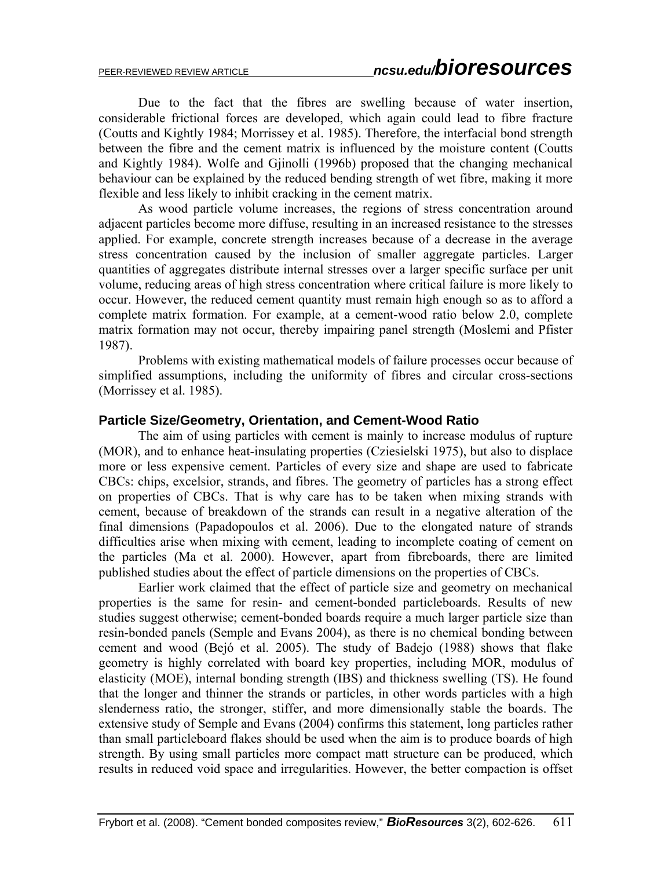Due to the fact that the fibres are swelling because of water insertion, considerable frictional forces are developed, which again could lead to fibre fracture (Coutts and Kightly 1984; Morrissey et al. 1985). Therefore, the interfacial bond strength between the fibre and the cement matrix is influenced by the moisture content (Coutts and Kightly 1984). Wolfe and Gjinolli (1996b) proposed that the changing mechanical behaviour can be explained by the reduced bending strength of wet fibre, making it more flexible and less likely to inhibit cracking in the cement matrix.

 As wood particle volume increases, the regions of stress concentration around adjacent particles become more diffuse, resulting in an increased resistance to the stresses applied. For example, concrete strength increases because of a decrease in the average stress concentration caused by the inclusion of smaller aggregate particles. Larger quantities of aggregates distribute internal stresses over a larger specific surface per unit volume, reducing areas of high stress concentration where critical failure is more likely to occur. However, the reduced cement quantity must remain high enough so as to afford a complete matrix formation. For example, at a cement-wood ratio below 2.0, complete matrix formation may not occur, thereby impairing panel strength (Moslemi and Pfister 1987).

 Problems with existing mathematical models of failure processes occur because of simplified assumptions, including the uniformity of fibres and circular cross-sections (Morrissey et al. 1985).

#### **Particle Size/Geometry, Orientation, and Cement-Wood Ratio**

The aim of using particles with cement is mainly to increase modulus of rupture (MOR), and to enhance heat-insulating properties (Cziesielski 1975), but also to displace more or less expensive cement. Particles of every size and shape are used to fabricate CBCs: chips, excelsior, strands, and fibres. The geometry of particles has a strong effect on properties of CBCs. That is why care has to be taken when mixing strands with cement, because of breakdown of the strands can result in a negative alteration of the final dimensions (Papadopoulos et al. 2006). Due to the elongated nature of strands difficulties arise when mixing with cement, leading to incomplete coating of cement on the particles (Ma et al. 2000). However, apart from fibreboards, there are limited published studies about the effect of particle dimensions on the properties of CBCs.

 Earlier work claimed that the effect of particle size and geometry on mechanical properties is the same for resin- and cement-bonded particleboards. Results of new studies suggest otherwise; cement-bonded boards require a much larger particle size than resin-bonded panels (Semple and Evans 2004), as there is no chemical bonding between cement and wood (Bejó et al. 2005). The study of Badejo (1988) shows that flake geometry is highly correlated with board key properties, including MOR, modulus of elasticity (MOE), internal bonding strength (IBS) and thickness swelling (TS). He found that the longer and thinner the strands or particles, in other words particles with a high slenderness ratio, the stronger, stiffer, and more dimensionally stable the boards. The extensive study of Semple and Evans (2004) confirms this statement, long particles rather than small particleboard flakes should be used when the aim is to produce boards of high strength. By using small particles more compact matt structure can be produced, which results in reduced void space and irregularities. However, the better compaction is offset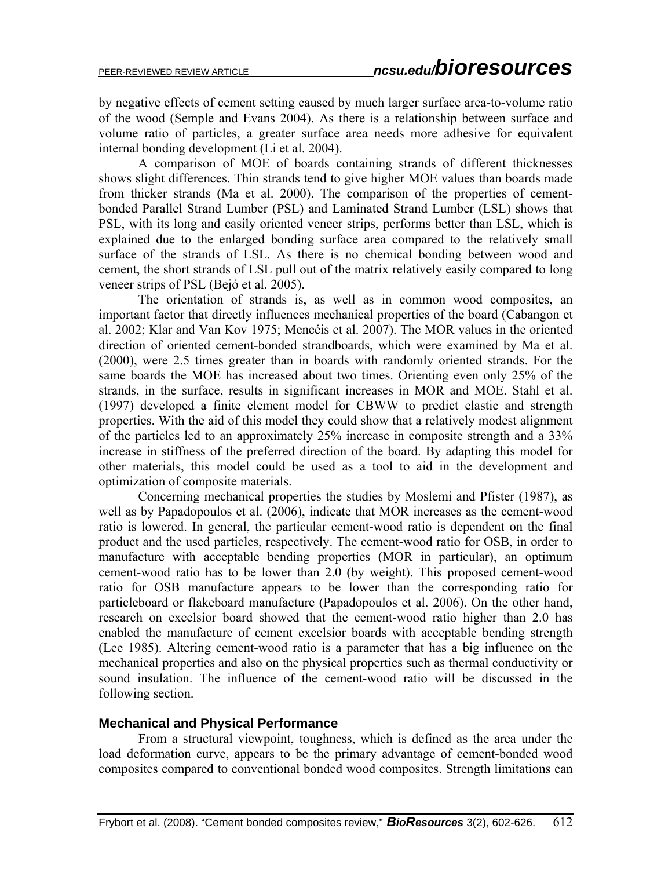by negative effects of cement setting caused by much larger surface area-to-volume ratio of the wood (Semple and Evans 2004). As there is a relationship between surface and volume ratio of particles, a greater surface area needs more adhesive for equivalent internal bonding development (Li et al. 2004).

 A comparison of MOE of boards containing strands of different thicknesses shows slight differences. Thin strands tend to give higher MOE values than boards made from thicker strands (Ma et al. 2000). The comparison of the properties of cementbonded Parallel Strand Lumber (PSL) and Laminated Strand Lumber (LSL) shows that PSL, with its long and easily oriented veneer strips, performs better than LSL, which is explained due to the enlarged bonding surface area compared to the relatively small surface of the strands of LSL. As there is no chemical bonding between wood and cement, the short strands of LSL pull out of the matrix relatively easily compared to long veneer strips of PSL (Bejó et al. 2005).

 The orientation of strands is, as well as in common wood composites, an important factor that directly influences mechanical properties of the board (Cabangon et al. 2002; Klar and Van Kov 1975; Meneéis et al. 2007). The MOR values in the oriented direction of oriented cement-bonded strandboards, which were examined by Ma et al. (2000), were 2.5 times greater than in boards with randomly oriented strands. For the same boards the MOE has increased about two times. Orienting even only 25% of the strands, in the surface, results in significant increases in MOR and MOE. Stahl et al. (1997) developed a finite element model for CBWW to predict elastic and strength properties. With the aid of this model they could show that a relatively modest alignment of the particles led to an approximately 25% increase in composite strength and a 33% increase in stiffness of the preferred direction of the board. By adapting this model for other materials, this model could be used as a tool to aid in the development and optimization of composite materials.

Concerning mechanical properties the studies by Moslemi and Pfister (1987), as well as by Papadopoulos et al. (2006), indicate that MOR increases as the cement-wood ratio is lowered. In general, the particular cement-wood ratio is dependent on the final product and the used particles, respectively. The cement-wood ratio for OSB, in order to manufacture with acceptable bending properties (MOR in particular), an optimum cement-wood ratio has to be lower than 2.0 (by weight). This proposed cement-wood ratio for OSB manufacture appears to be lower than the corresponding ratio for particleboard or flakeboard manufacture (Papadopoulos et al. 2006). On the other hand, research on excelsior board showed that the cement-wood ratio higher than 2.0 has enabled the manufacture of cement excelsior boards with acceptable bending strength (Lee 1985). Altering cement-wood ratio is a parameter that has a big influence on the mechanical properties and also on the physical properties such as thermal conductivity or sound insulation. The influence of the cement-wood ratio will be discussed in the following section.

#### **Mechanical and Physical Performance**

 From a structural viewpoint, toughness, which is defined as the area under the load deformation curve, appears to be the primary advantage of cement-bonded wood composites compared to conventional bonded wood composites. Strength limitations can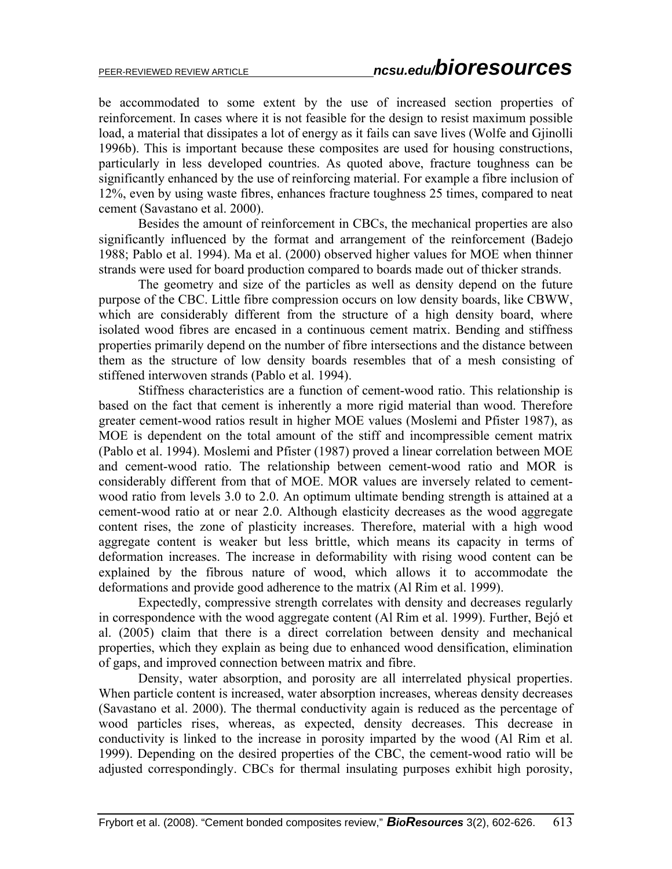be accommodated to some extent by the use of increased section properties of reinforcement. In cases where it is not feasible for the design to resist maximum possible load, a material that dissipates a lot of energy as it fails can save lives (Wolfe and Gjinolli 1996b). This is important because these composites are used for housing constructions, particularly in less developed countries. As quoted above, fracture toughness can be significantly enhanced by the use of reinforcing material. For example a fibre inclusion of 12%, even by using waste fibres, enhances fracture toughness 25 times, compared to neat cement (Savastano et al. 2000).

 Besides the amount of reinforcement in CBCs, the mechanical properties are also significantly influenced by the format and arrangement of the reinforcement (Badejo 1988; Pablo et al. 1994). Ma et al. (2000) observed higher values for MOE when thinner strands were used for board production compared to boards made out of thicker strands.

 The geometry and size of the particles as well as density depend on the future purpose of the CBC. Little fibre compression occurs on low density boards, like CBWW, which are considerably different from the structure of a high density board, where isolated wood fibres are encased in a continuous cement matrix. Bending and stiffness properties primarily depend on the number of fibre intersections and the distance between them as the structure of low density boards resembles that of a mesh consisting of stiffened interwoven strands (Pablo et al. 1994).

 Stiffness characteristics are a function of cement-wood ratio. This relationship is based on the fact that cement is inherently a more rigid material than wood. Therefore greater cement-wood ratios result in higher MOE values (Moslemi and Pfister 1987), as MOE is dependent on the total amount of the stiff and incompressible cement matrix (Pablo et al. 1994). Moslemi and Pfister (1987) proved a linear correlation between MOE and cement-wood ratio. The relationship between cement-wood ratio and MOR is considerably different from that of MOE. MOR values are inversely related to cementwood ratio from levels 3.0 to 2.0. An optimum ultimate bending strength is attained at a cement-wood ratio at or near 2.0. Although elasticity decreases as the wood aggregate content rises, the zone of plasticity increases. Therefore, material with a high wood aggregate content is weaker but less brittle, which means its capacity in terms of deformation increases. The increase in deformability with rising wood content can be explained by the fibrous nature of wood, which allows it to accommodate the deformations and provide good adherence to the matrix (Al Rim et al. 1999).

 Expectedly, compressive strength correlates with density and decreases regularly in correspondence with the wood aggregate content (Al Rim et al. 1999). Further, Bejó et al. (2005) claim that there is a direct correlation between density and mechanical properties, which they explain as being due to enhanced wood densification, elimination of gaps, and improved connection between matrix and fibre.

 Density, water absorption, and porosity are all interrelated physical properties. When particle content is increased, water absorption increases, whereas density decreases (Savastano et al. 2000). The thermal conductivity again is reduced as the percentage of wood particles rises, whereas, as expected, density decreases. This decrease in conductivity is linked to the increase in porosity imparted by the wood (Al Rim et al. 1999). Depending on the desired properties of the CBC, the cement-wood ratio will be adjusted correspondingly. CBCs for thermal insulating purposes exhibit high porosity,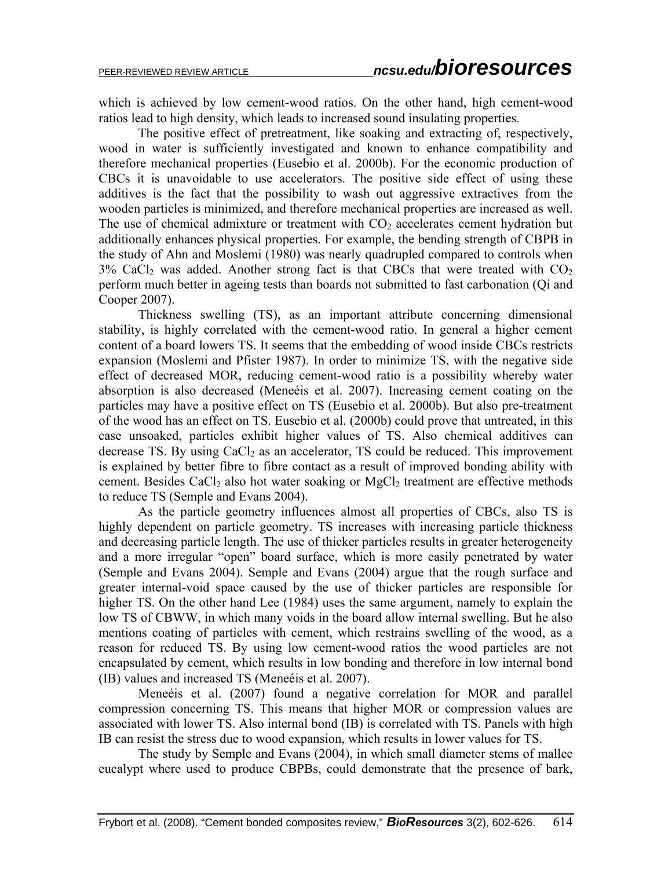which is achieved by low cement-wood ratios. On the other hand, high cement-wood ratios lead to high density, which leads to increased sound insulating properties.

 The positive effect of pretreatment, like soaking and extracting of, respectively, wood in water is sufficiently investigated and known to enhance compatibility and therefore mechanical properties (Eusebio et al. 2000b). For the economic production of CBCs it is unavoidable to use accelerators. The positive side effect of using these additives is the fact that the possibility to wash out aggressive extractives from the wooden particles is minimized, and therefore mechanical properties are increased as well. The use of chemical admixture or treatment with  $CO<sub>2</sub>$  accelerates cement hydration but additionally enhances physical properties. For example, the bending strength of CBPB in the study of Ahn and Moslemi (1980) was nearly quadrupled compared to controls when  $3\%$  CaCl<sub>2</sub> was added. Another strong fact is that CBCs that were treated with  $CO<sub>2</sub>$ perform much better in ageing tests than boards not submitted to fast carbonation (Qi and Cooper 2007).

 Thickness swelling (TS), as an important attribute concerning dimensional stability, is highly correlated with the cement-wood ratio. In general a higher cement content of a board lowers TS. It seems that the embedding of wood inside CBCs restricts expansion (Moslemi and Pfister 1987). In order to minimize TS, with the negative side effect of decreased MOR, reducing cement-wood ratio is a possibility whereby water absorption is also decreased (Meneéis et al. 2007). Increasing cement coating on the particles may have a positive effect on TS (Eusebio et al. 2000b). But also pre-treatment of the wood has an effect on TS. Eusebio et al. (2000b) could prove that untreated, in this case unsoaked, particles exhibit higher values of TS. Also chemical additives can decrease TS. By using  $CaCl<sub>2</sub>$  as an accelerator, TS could be reduced. This improvement is explained by better fibre to fibre contact as a result of improved bonding ability with cement. Besides CaCl<sub>2</sub> also hot water soaking or  $MgCl<sub>2</sub>$  treatment are effective methods to reduce TS (Semple and Evans 2004).

 As the particle geometry influences almost all properties of CBCs, also TS is highly dependent on particle geometry. TS increases with increasing particle thickness and decreasing particle length. The use of thicker particles results in greater heterogeneity and a more irregular "open" board surface, which is more easily penetrated by water (Semple and Evans 2004). Semple and Evans (2004) argue that the rough surface and greater internal-void space caused by the use of thicker particles are responsible for higher TS. On the other hand Lee (1984) uses the same argument, namely to explain the low TS of CBWW, in which many voids in the board allow internal swelling. But he also mentions coating of particles with cement, which restrains swelling of the wood, as a reason for reduced TS. By using low cement-wood ratios the wood particles are not encapsulated by cement, which results in low bonding and therefore in low internal bond (IB) values and increased TS (Meneéis et al. 2007).

 Meneéis et al. (2007) found a negative correlation for MOR and parallel compression concerning TS. This means that higher MOR or compression values are associated with lower TS. Also internal bond (IB) is correlated with TS. Panels with high IB can resist the stress due to wood expansion, which results in lower values for TS.

 The study by Semple and Evans (2004), in which small diameter stems of mallee eucalypt where used to produce CBPBs, could demonstrate that the presence of bark,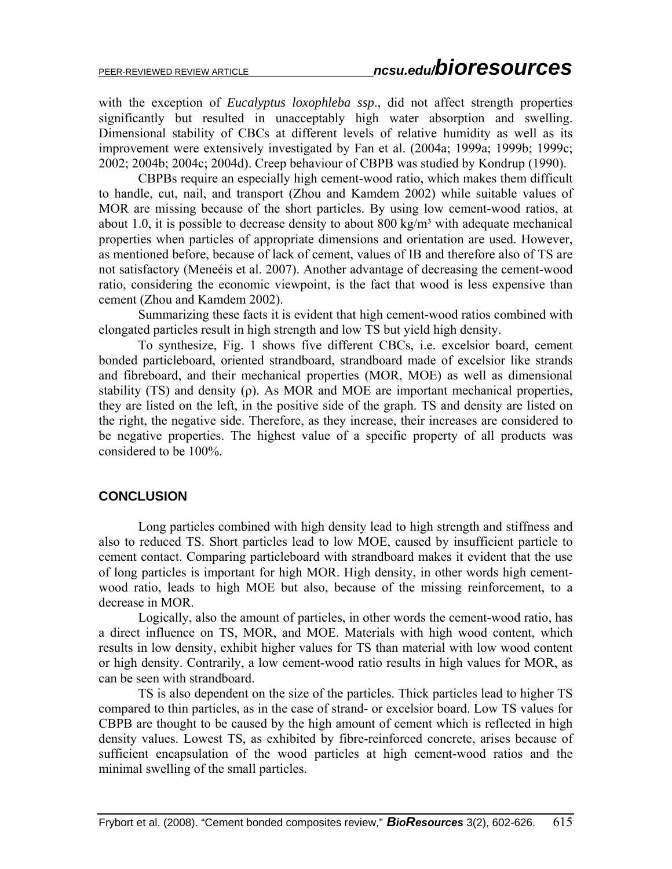with the exception of *Eucalyptus loxophleba ssp*., did not affect strength properties significantly but resulted in unacceptably high water absorption and swelling. Dimensional stability of CBCs at different levels of relative humidity as well as its improvement were extensively investigated by Fan et al. (2004a; 1999a; 1999b; 1999c; 2002; 2004b; 2004c; 2004d). Creep behaviour of CBPB was studied by Kondrup (1990).

 CBPBs require an especially high cement-wood ratio, which makes them difficult to handle, cut, nail, and transport (Zhou and Kamdem 2002) while suitable values of MOR are missing because of the short particles. By using low cement-wood ratios, at about 1.0, it is possible to decrease density to about  $800 \text{ kg/m}^3$  with adequate mechanical properties when particles of appropriate dimensions and orientation are used. However, as mentioned before, because of lack of cement, values of IB and therefore also of TS are not satisfactory (Meneéis et al. 2007). Another advantage of decreasing the cement-wood ratio, considering the economic viewpoint, is the fact that wood is less expensive than cement (Zhou and Kamdem 2002).

 Summarizing these facts it is evident that high cement-wood ratios combined with elongated particles result in high strength and low TS but yield high density.

To synthesize, Fig. 1 shows five different CBCs, i.e. excelsior board, cement bonded particleboard, oriented strandboard, strandboard made of excelsior like strands and fibreboard, and their mechanical properties (MOR, MOE) as well as dimensional stability (TS) and density ( $\rho$ ). As MOR and MOE are important mechanical properties, they are listed on the left, in the positive side of the graph. TS and density are listed on the right, the negative side. Therefore, as they increase, their increases are considered to be negative properties. The highest value of a specific property of all products was considered to be 100%.

### **CONCLUSION**

Long particles combined with high density lead to high strength and stiffness and also to reduced TS. Short particles lead to low MOE, caused by insufficient particle to cement contact. Comparing particleboard with strandboard makes it evident that the use of long particles is important for high MOR. High density, in other words high cementwood ratio, leads to high MOE but also, because of the missing reinforcement, to a decrease in MOR.

Logically, also the amount of particles, in other words the cement-wood ratio, has a direct influence on TS, MOR, and MOE. Materials with high wood content, which results in low density, exhibit higher values for TS than material with low wood content or high density. Contrarily, a low cement-wood ratio results in high values for MOR, as can be seen with strandboard.

TS is also dependent on the size of the particles. Thick particles lead to higher TS compared to thin particles, as in the case of strand- or excelsior board. Low TS values for CBPB are thought to be caused by the high amount of cement which is reflected in high density values. Lowest TS, as exhibited by fibre-reinforced concrete, arises because of sufficient encapsulation of the wood particles at high cement-wood ratios and the minimal swelling of the small particles.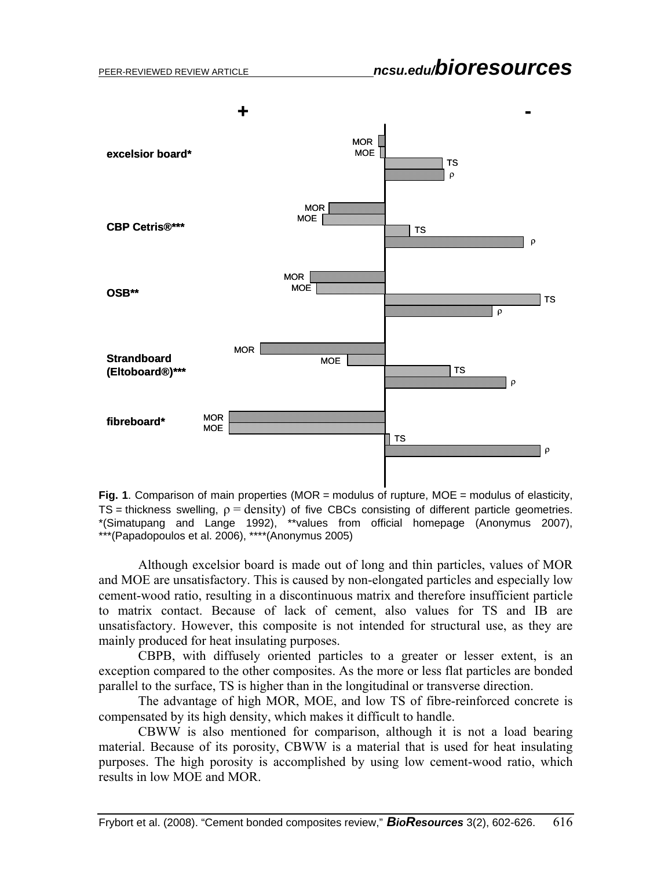

**Fig. 1.** Comparison of main properties (MOR = modulus of rupture, MOE = modulus of elasticity, TS = thickness swelling,  $\rho =$  density) of five CBCs consisting of different particle geometries. \*(Simatupang and Lange 1992), \*\*values from official homepage (Anonymus 2007), \*\*\*(Papadopoulos et al. 2006), \*\*\*\*(Anonymus 2005)

Although excelsior board is made out of long and thin particles, values of MOR and MOE are unsatisfactory. This is caused by non-elongated particles and especially low cement-wood ratio, resulting in a discontinuous matrix and therefore insufficient particle to matrix contact. Because of lack of cement, also values for TS and IB are unsatisfactory. However, this composite is not intended for structural use, as they are mainly produced for heat insulating purposes.

CBPB, with diffusely oriented particles to a greater or lesser extent, is an exception compared to the other composites. As the more or less flat particles are bonded parallel to the surface, TS is higher than in the longitudinal or transverse direction.

The advantage of high MOR, MOE, and low TS of fibre-reinforced concrete is compensated by its high density, which makes it difficult to handle.

CBWW is also mentioned for comparison, although it is not a load bearing material. Because of its porosity, CBWW is a material that is used for heat insulating purposes. The high porosity is accomplished by using low cement-wood ratio, which results in low MOE and MOR.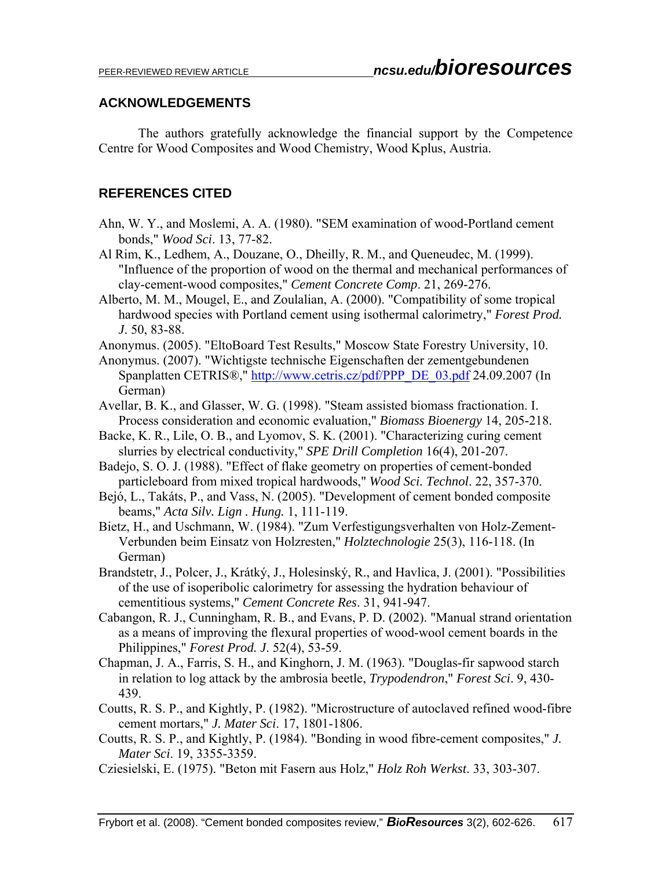### **ACKNOWLEDGEMENTS**

The authors gratefully acknowledge the financial support by the Competence Centre for Wood Composites and Wood Chemistry, Wood Kplus, Austria.

## **REFERENCES CITED**

- Ahn, W. Y., and Moslemi, A. A. (1980). "SEM examination of wood-Portland cement bonds," *Wood Sci*. 13, 77-82.
- Al Rim, K., Ledhem, A., Douzane, O., Dheilly, R. M., and Queneudec, M. (1999). "Influence of the proportion of wood on the thermal and mechanical performances of clay-cement-wood composites," *Cement Concrete Comp*. 21, 269-276.
- Alberto, M. M., Mougel, E., and Zoulalian, A. (2000). "Compatibility of some tropical hardwood species with Portland cement using isothermal calorimetry," *Forest Prod. J*. 50, 83-88.
- Anonymus. (2005). "EltoBoard Test Results," Moscow State Forestry University, 10.
- Anonymus. (2007). "Wichtigste technische Eigenschaften der zementgebundenen Spanplatten CETRIS®," http://www.cetris.cz/pdf/PPP\_DE\_03.pdf 24.09.2007 (In German)
- Avellar, B. K., and Glasser, W. G. (1998). "Steam assisted biomass fractionation. I. Process consideration and economic evaluation," *Biomass Bioenergy* 14, 205-218.
- Backe, K. R., Lile, O. B., and Lyomov, S. K. (2001). "Characterizing curing cement slurries by electrical conductivity," *SPE Drill Completion* 16(4), 201-207.
- Badejo, S. O. J. (1988). "Effect of flake geometry on properties of cement-bonded particleboard from mixed tropical hardwoods," *Wood Sci. Technol*. 22, 357-370.
- Bejó, L., Takáts, P., and Vass, N. (2005). "Development of cement bonded composite beams," *Acta Silv. Lign . Hung.* 1, 111-119.
- Bietz, H., and Uschmann, W. (1984). "Zum Verfestigungsverhalten von Holz-Zement-Verbunden beim Einsatz von Holzresten," *Holztechnologie* 25(3), 116-118. (In German)
- Brandstetr, J., Polcer, J., Krátký, J., Holesinský, R., and Havlica, J. (2001). "Possibilities of the use of isoperibolic calorimetry for assessing the hydration behaviour of cementitious systems," *Cement Concrete Res*. 31, 941-947.
- Cabangon, R. J., Cunningham, R. B., and Evans, P. D. (2002). "Manual strand orientation as a means of improving the flexural properties of wood-wool cement boards in the Philippines," *Forest Prod. J*. 52(4), 53-59.
- Chapman, J. A., Farris, S. H., and Kinghorn, J. M. (1963). "Douglas-fir sapwood starch in relation to log attack by the ambrosia beetle, *Trypodendron*," *Forest Sci*. 9, 430- 439.
- Coutts, R. S. P., and Kightly, P. (1982). "Microstructure of autoclaved refined wood-fibre cement mortars," *J. Mater Sci*. 17, 1801-1806.
- Coutts, R. S. P., and Kightly, P. (1984). "Bonding in wood fibre-cement composites," *J. Mater Sci*. 19, 3355-3359.
- Cziesielski, E. (1975). "Beton mit Fasern aus Holz," *Holz Roh Werkst*. 33, 303-307.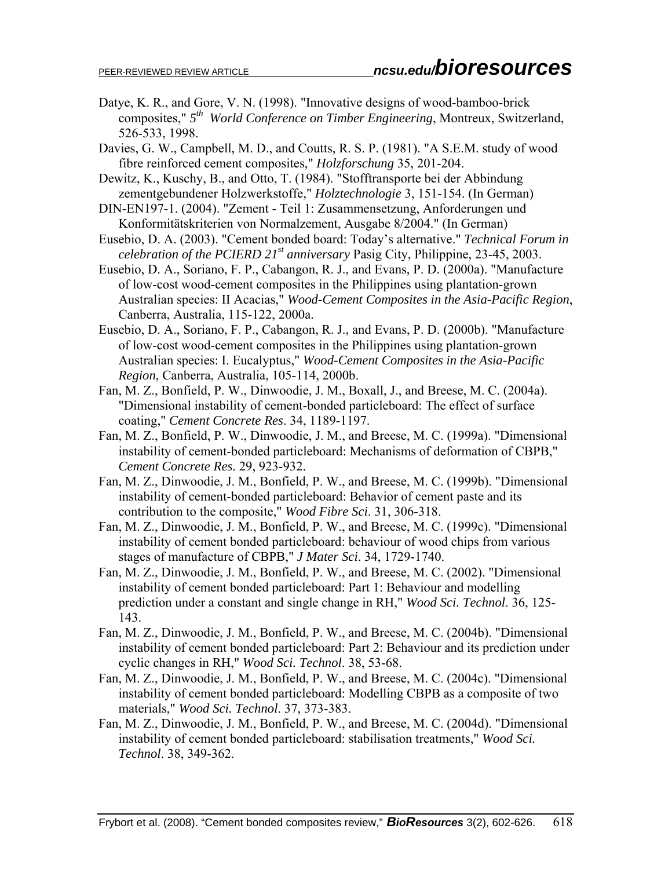- Datye, K. R., and Gore, V. N. (1998). "Innovative designs of wood-bamboo-brick composites," *5th World Conference on Timber Engineering*, Montreux, Switzerland, 526-533, 1998.
- Davies, G. W., Campbell, M. D., and Coutts, R. S. P. (1981). "A S.E.M. study of wood fibre reinforced cement composites," *Holzforschung* 35, 201-204.
- Dewitz, K., Kuschy, B., and Otto, T. (1984). "Stofftransporte bei der Abbindung zementgebundener Holzwerkstoffe," *Holztechnologie* 3, 151-154. (In German)
- DIN-EN197-1. (2004). "Zement Teil 1: Zusammensetzung, Anforderungen und Konformitätskriterien von Normalzement, Ausgabe 8/2004." (In German)
- Eusebio, D. A. (2003). "Cement bonded board: Today's alternative." *Technical Forum in celebration of the PCIERD 21st anniversary* Pasig City, Philippine, 23-45, 2003.
- Eusebio, D. A., Soriano, F. P., Cabangon, R. J., and Evans, P. D. (2000a). "Manufacture of low-cost wood-cement composites in the Philippines using plantation-grown Australian species: II Acacias," *Wood-Cement Composites in the Asia-Pacific Region*, Canberra, Australia, 115-122, 2000a.
- Eusebio, D. A., Soriano, F. P., Cabangon, R. J., and Evans, P. D. (2000b). "Manufacture of low-cost wood-cement composites in the Philippines using plantation-grown Australian species: I. Eucalyptus," *Wood-Cement Composites in the Asia-Pacific Region*, Canberra, Australia, 105-114, 2000b.
- Fan, M. Z., Bonfield, P. W., Dinwoodie, J. M., Boxall, J., and Breese, M. C. (2004a). "Dimensional instability of cement-bonded particleboard: The effect of surface coating," *Cement Concrete Res*. 34, 1189-1197.
- Fan, M. Z., Bonfield, P. W., Dinwoodie, J. M., and Breese, M. C. (1999a). "Dimensional instability of cement-bonded particleboard: Mechanisms of deformation of CBPB," *Cement Concrete Res*. 29, 923-932.
- Fan, M. Z., Dinwoodie, J. M., Bonfield, P. W., and Breese, M. C. (1999b). "Dimensional instability of cement-bonded particleboard: Behavior of cement paste and its contribution to the composite," *Wood Fibre Sci*. 31, 306-318.
- Fan, M. Z., Dinwoodie, J. M., Bonfield, P. W., and Breese, M. C. (1999c). "Dimensional instability of cement bonded particleboard: behaviour of wood chips from various stages of manufacture of CBPB," *J Mater Sci*. 34, 1729-1740.
- Fan, M. Z., Dinwoodie, J. M., Bonfield, P. W., and Breese, M. C. (2002). "Dimensional instability of cement bonded particleboard: Part 1: Behaviour and modelling prediction under a constant and single change in RH," *Wood Sci. Technol*. 36, 125- 143.
- Fan, M. Z., Dinwoodie, J. M., Bonfield, P. W., and Breese, M. C. (2004b). "Dimensional instability of cement bonded particleboard: Part 2: Behaviour and its prediction under cyclic changes in RH," *Wood Sci. Technol*. 38, 53-68.
- Fan, M. Z., Dinwoodie, J. M., Bonfield, P. W., and Breese, M. C. (2004c). "Dimensional instability of cement bonded particleboard: Modelling CBPB as a composite of two materials," *Wood Sci. Technol*. 37, 373-383.
- Fan, M. Z., Dinwoodie, J. M., Bonfield, P. W., and Breese, M. C. (2004d). "Dimensional instability of cement bonded particleboard: stabilisation treatments," *Wood Sci. Technol*. 38, 349-362.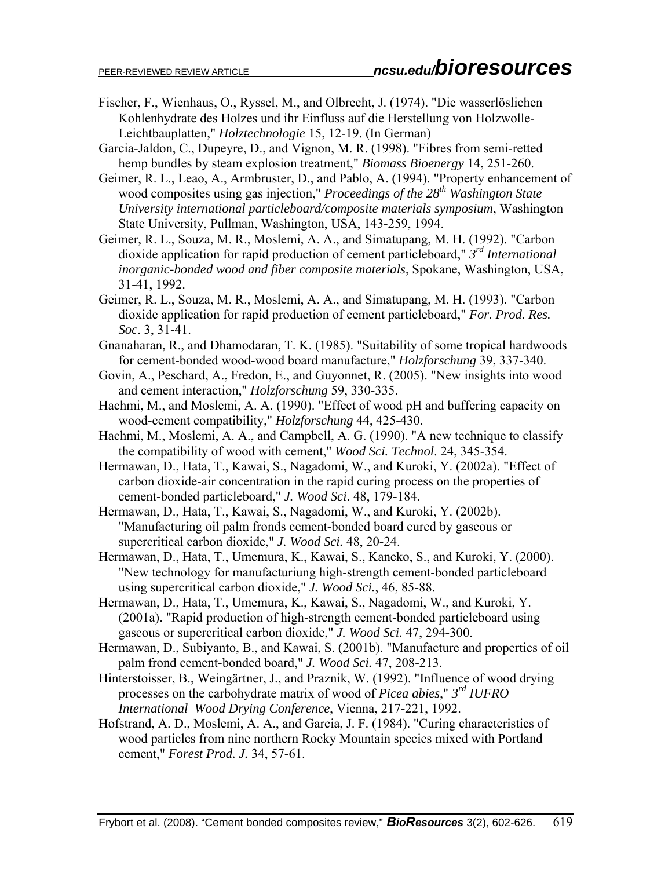- Fischer, F., Wienhaus, O., Ryssel, M., and Olbrecht, J. (1974). "Die wasserlöslichen Kohlenhydrate des Holzes und ihr Einfluss auf die Herstellung von Holzwolle-Leichtbauplatten," *Holztechnologie* 15, 12-19. (In German)
- Garcia-Jaldon, C., Dupeyre, D., and Vignon, M. R. (1998). "Fibres from semi-retted hemp bundles by steam explosion treatment," *Biomass Bioenergy* 14, 251-260.
- Geimer, R. L., Leao, A., Armbruster, D., and Pablo, A. (1994). "Property enhancement of wood composites using gas injection," *Proceedings of the 28<sup>th</sup> Washington State University international particleboard/composite materials symposium*, Washington State University, Pullman, Washington, USA, 143-259, 1994.
- Geimer, R. L., Souza, M. R., Moslemi, A. A., and Simatupang, M. H. (1992). "Carbon dioxide application for rapid production of cement particleboard," *3rd International inorganic-bonded wood and fiber composite materials*, Spokane, Washington, USA, 31-41, 1992.
- Geimer, R. L., Souza, M. R., Moslemi, A. A., and Simatupang, M. H. (1993). "Carbon dioxide application for rapid production of cement particleboard," *For. Prod. Res. Soc*. 3, 31-41.
- Gnanaharan, R., and Dhamodaran, T. K. (1985). "Suitability of some tropical hardwoods for cement-bonded wood-wood board manufacture," *Holzforschung* 39, 337-340.
- Govin, A., Peschard, A., Fredon, E., and Guyonnet, R. (2005). "New insights into wood and cement interaction," *Holzforschung* 59, 330-335.
- Hachmi, M., and Moslemi, A. A. (1990). "Effect of wood pH and buffering capacity on wood-cement compatibility," *Holzforschung* 44, 425-430.
- Hachmi, M., Moslemi, A. A., and Campbell, A. G. (1990). "A new technique to classify the compatibility of wood with cement," *Wood Sci. Technol*. 24, 345-354.
- Hermawan, D., Hata, T., Kawai, S., Nagadomi, W., and Kuroki, Y. (2002a). "Effect of carbon dioxide-air concentration in the rapid curing process on the properties of cement-bonded particleboard," *J. Wood Sci*. 48, 179-184.
- Hermawan, D., Hata, T., Kawai, S., Nagadomi, W., and Kuroki, Y. (2002b). "Manufacturing oil palm fronds cement-bonded board cured by gaseous or supercritical carbon dioxide," *J. Wood Sci.* 48, 20-24.
- Hermawan, D., Hata, T., Umemura, K., Kawai, S., Kaneko, S., and Kuroki, Y. (2000). "New technology for manufacturiung high-strength cement-bonded particleboard using supercritical carbon dioxide," *J. Wood Sci.*, 46, 85-88.
- Hermawan, D., Hata, T., Umemura, K., Kawai, S., Nagadomi, W., and Kuroki, Y. (2001a). "Rapid production of high-strength cement-bonded particleboard using gaseous or supercritical carbon dioxide," *J. Wood Sci.* 47, 294-300.
- Hermawan, D., Subiyanto, B., and Kawai, S. (2001b). "Manufacture and properties of oil palm frond cement-bonded board," *J. Wood Sci.* 47, 208-213.
- Hinterstoisser, B., Weingärtner, J., and Praznik, W. (1992). "Influence of wood drying processes on the carbohydrate matrix of wood of *Picea abies*," *3rd IUFRO International Wood Drying Conference*, Vienna, 217-221, 1992.
- Hofstrand, A. D., Moslemi, A. A., and Garcia, J. F. (1984). "Curing characteristics of wood particles from nine northern Rocky Mountain species mixed with Portland cement," *Forest Prod. J.* 34, 57-61.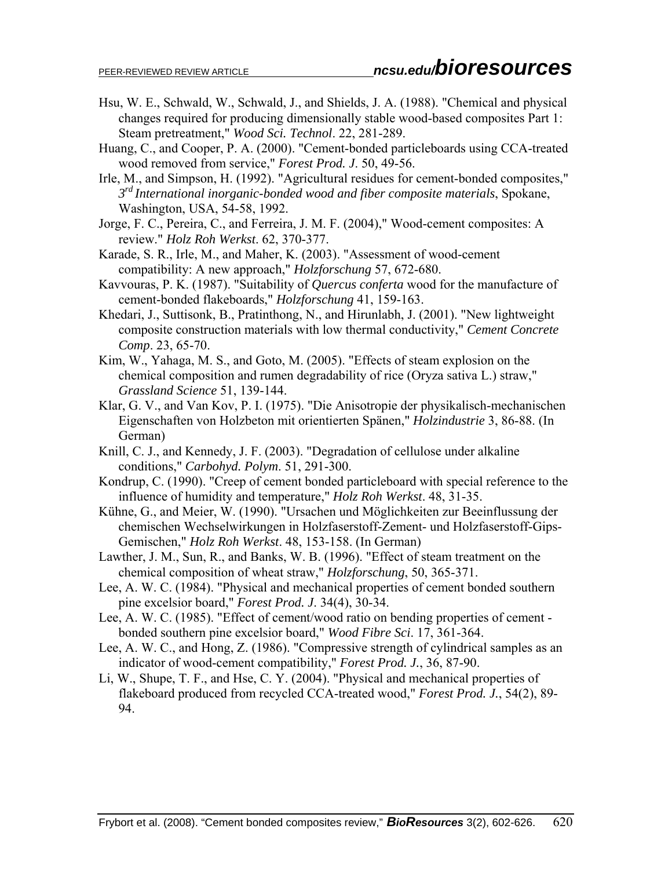- Hsu, W. E., Schwald, W., Schwald, J., and Shields, J. A. (1988). "Chemical and physical changes required for producing dimensionally stable wood-based composites Part 1: Steam pretreatment," *Wood Sci. Technol*. 22, 281-289.
- Huang, C., and Cooper, P. A. (2000). "Cement-bonded particleboards using CCA-treated wood removed from service," *Forest Prod. J*. 50, 49-56.
- Irle, M., and Simpson, H. (1992). "Agricultural residues for cement-bonded composites," *3rd International inorganic-bonded wood and fiber composite materials*, Spokane, Washington, USA, 54-58, 1992.
- Jorge, F. C., Pereira, C., and Ferreira, J. M. F. (2004)," Wood-cement composites: A review." *Holz Roh Werkst*. 62, 370-377.
- Karade, S. R., Irle, M., and Maher, K. (2003). "Assessment of wood-cement compatibility: A new approach," *Holzforschung* 57, 672-680.
- Kavvouras, P. K. (1987). "Suitability of *Quercus conferta* wood for the manufacture of cement-bonded flakeboards," *Holzforschung* 41, 159-163.
- Khedari, J., Suttisonk, B., Pratinthong, N., and Hirunlabh, J. (2001). "New lightweight composite construction materials with low thermal conductivity," *Cement Concrete Comp*. 23, 65-70.
- Kim, W., Yahaga, M. S., and Goto, M. (2005). "Effects of steam explosion on the chemical composition and rumen degradability of rice (Oryza sativa L.) straw," *Grassland Science* 51, 139-144.
- Klar, G. V., and Van Kov, P. I. (1975). "Die Anisotropie der physikalisch-mechanischen Eigenschaften von Holzbeton mit orientierten Spänen," *Holzindustrie* 3, 86-88. (In German)
- Knill, C. J., and Kennedy, J. F. (2003). "Degradation of cellulose under alkaline conditions," *Carbohyd. Polym*. 51, 291-300.
- Kondrup, C. (1990). "Creep of cement bonded particleboard with special reference to the influence of humidity and temperature," *Holz Roh Werkst*. 48, 31-35.
- Kühne, G., and Meier, W. (1990). "Ursachen und Möglichkeiten zur Beeinflussung der chemischen Wechselwirkungen in Holzfaserstoff-Zement- und Holzfaserstoff-Gips-Gemischen," *Holz Roh Werkst*. 48, 153-158. (In German)
- Lawther, J. M., Sun, R., and Banks, W. B. (1996). "Effect of steam treatment on the chemical composition of wheat straw," *Holzforschung*, 50, 365-371.
- Lee, A. W. C. (1984). "Physical and mechanical properties of cement bonded southern pine excelsior board," *Forest Prod. J*. 34(4), 30-34.
- Lee, A. W. C. (1985). "Effect of cement/wood ratio on bending properties of cement bonded southern pine excelsior board," *Wood Fibre Sci*. 17, 361-364.
- Lee, A. W. C., and Hong, Z. (1986). "Compressive strength of cylindrical samples as an indicator of wood-cement compatibility," *Forest Prod. J.*, 36, 87-90.
- Li, W., Shupe, T. F., and Hse, C. Y. (2004). "Physical and mechanical properties of flakeboard produced from recycled CCA-treated wood," *Forest Prod. J.*, 54(2), 89- 94.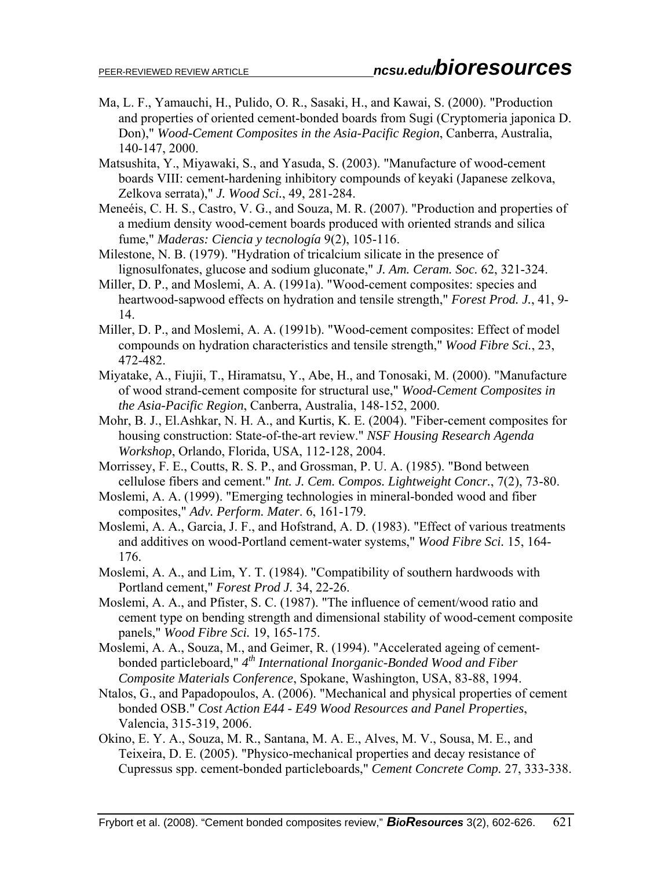- Ma, L. F., Yamauchi, H., Pulido, O. R., Sasaki, H., and Kawai, S. (2000). "Production and properties of oriented cement-bonded boards from Sugi (Cryptomeria japonica D. Don)," *Wood-Cement Composites in the Asia-Pacific Region*, Canberra, Australia, 140-147, 2000.
- Matsushita, Y., Miyawaki, S., and Yasuda, S. (2003). "Manufacture of wood-cement boards VIII: cement-hardening inhibitory compounds of keyaki (Japanese zelkova, Zelkova serrata)," *J. Wood Sci.*, 49, 281-284.
- Meneéis, C. H. S., Castro, V. G., and Souza, M. R. (2007). "Production and properties of a medium density wood-cement boards produced with oriented strands and silica fume," *Maderas: Ciencia y tecnología* 9(2), 105-116.
- Milestone, N. B. (1979). "Hydration of tricalcium silicate in the presence of lignosulfonates, glucose and sodium gluconate," *J. Am. Ceram. Soc.* 62, 321-324.
- Miller, D. P., and Moslemi, A. A. (1991a). "Wood-cement composites: species and heartwood-sapwood effects on hydration and tensile strength," *Forest Prod. J.*, 41, 9- 14.
- Miller, D. P., and Moslemi, A. A. (1991b). "Wood-cement composites: Effect of model compounds on hydration characteristics and tensile strength," *Wood Fibre Sci.*, 23, 472-482.
- Miyatake, A., Fiujii, T., Hiramatsu, Y., Abe, H., and Tonosaki, M. (2000). "Manufacture of wood strand-cement composite for structural use," *Wood-Cement Composites in the Asia-Pacific Region*, Canberra, Australia, 148-152, 2000.
- Mohr, B. J., El.Ashkar, N. H. A., and Kurtis, K. E. (2004). "Fiber-cement composites for housing construction: State-of-the-art review." *NSF Housing Research Agenda Workshop*, Orlando, Florida, USA, 112-128, 2004.
- Morrissey, F. E., Coutts, R. S. P., and Grossman, P. U. A. (1985). "Bond between cellulose fibers and cement." *Int. J. Cem. Compos. Lightweight Concr.*, 7(2), 73-80.
- Moslemi, A. A. (1999). "Emerging technologies in mineral-bonded wood and fiber composites," *Adv. Perform. Mater*. 6, 161-179.
- Moslemi, A. A., Garcia, J. F., and Hofstrand, A. D. (1983). "Effect of various treatments and additives on wood-Portland cement-water systems," *Wood Fibre Sci.* 15, 164- 176.
- Moslemi, A. A., and Lim, Y. T. (1984). "Compatibility of southern hardwoods with Portland cement," *Forest Prod J.* 34, 22-26.
- Moslemi, A. A., and Pfister, S. C. (1987). "The influence of cement/wood ratio and cement type on bending strength and dimensional stability of wood-cement composite panels," *Wood Fibre Sci.* 19, 165-175.
- Moslemi, A. A., Souza, M., and Geimer, R. (1994). "Accelerated ageing of cementbonded particleboard," *4th International Inorganic-Bonded Wood and Fiber Composite Materials Conference*, Spokane, Washington, USA, 83-88, 1994.
- Ntalos, G., and Papadopoulos, A. (2006). "Mechanical and physical properties of cement bonded OSB." *Cost Action E44 - E49 Wood Resources and Panel Properties*, Valencia, 315-319, 2006.
- Okino, E. Y. A., Souza, M. R., Santana, M. A. E., Alves, M. V., Sousa, M. E., and Teixeira, D. E. (2005). "Physico-mechanical properties and decay resistance of Cupressus spp. cement-bonded particleboards," *Cement Concrete Comp.* 27, 333-338.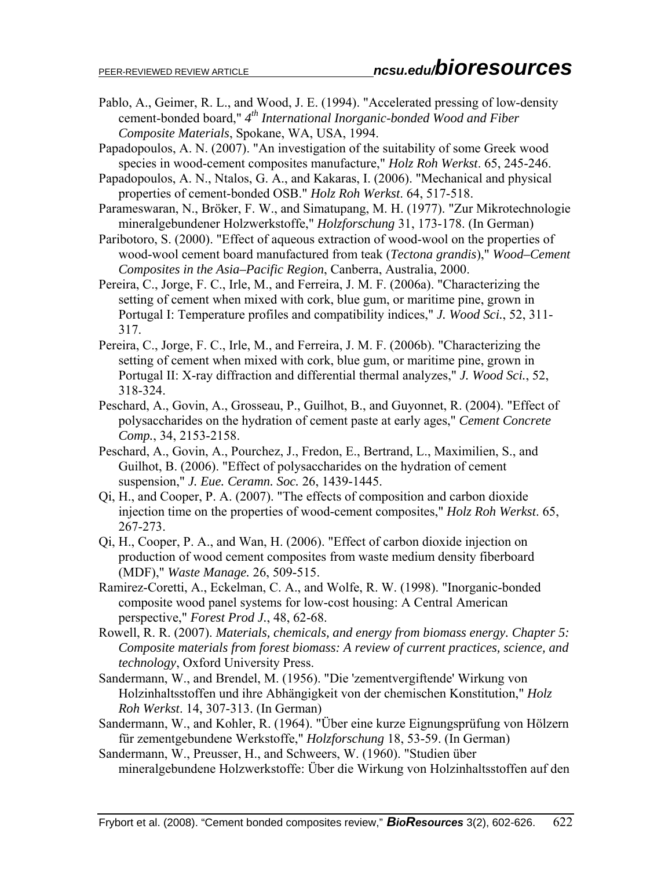- Pablo, A., Geimer, R. L., and Wood, J. E. (1994). "Accelerated pressing of low-density cement-bonded board," *4th International Inorganic-bonded Wood and Fiber Composite Materials*, Spokane, WA, USA, 1994.
- Papadopoulos, A. N. (2007). "An investigation of the suitability of some Greek wood species in wood-cement composites manufacture," *Holz Roh Werkst*. 65, 245-246.
- Papadopoulos, A. N., Ntalos, G. A., and Kakaras, I. (2006). "Mechanical and physical properties of cement-bonded OSB." *Holz Roh Werkst*. 64, 517-518.
- Parameswaran, N., Bröker, F. W., and Simatupang, M. H. (1977). "Zur Mikrotechnologie mineralgebundener Holzwerkstoffe," *Holzforschung* 31, 173-178. (In German)
- Paribotoro, S. (2000). "Effect of aqueous extraction of wood-wool on the properties of wood-wool cement board manufactured from teak (*Tectona grandis*)," *Wood–Cement Composites in the Asia–Pacific Region*, Canberra, Australia, 2000.
- Pereira, C., Jorge, F. C., Irle, M., and Ferreira, J. M. F. (2006a). "Characterizing the setting of cement when mixed with cork, blue gum, or maritime pine, grown in Portugal I: Temperature profiles and compatibility indices," *J. Wood Sci.*, 52, 311- 317.
- Pereira, C., Jorge, F. C., Irle, M., and Ferreira, J. M. F. (2006b). "Characterizing the setting of cement when mixed with cork, blue gum, or maritime pine, grown in Portugal II: X-ray diffraction and differential thermal analyzes," *J. Wood Sci.*, 52, 318-324.
- Peschard, A., Govin, A., Grosseau, P., Guilhot, B., and Guyonnet, R. (2004). "Effect of polysaccharides on the hydration of cement paste at early ages," *Cement Concrete Comp.*, 34, 2153-2158.
- Peschard, A., Govin, A., Pourchez, J., Fredon, E., Bertrand, L., Maximilien, S., and Guilhot, B. (2006). "Effect of polysaccharides on the hydration of cement suspension," *J. Eue. Ceramn. Soc.* 26, 1439-1445.
- Qi, H., and Cooper, P. A. (2007). "The effects of composition and carbon dioxide injection time on the properties of wood-cement composites," *Holz Roh Werkst*. 65, 267-273.
- Qi, H., Cooper, P. A., and Wan, H. (2006). "Effect of carbon dioxide injection on production of wood cement composites from waste medium density fiberboard (MDF)," *Waste Manage.* 26, 509-515.
- Ramirez-Coretti, A., Eckelman, C. A., and Wolfe, R. W. (1998). "Inorganic-bonded composite wood panel systems for low-cost housing: A Central American perspective," *Forest Prod J.*, 48, 62-68.
- Rowell, R. R. (2007). *Materials, chemicals, and energy from biomass energy. Chapter 5: Composite materials from forest biomass: A review of current practices, science, and technology*, Oxford University Press.
- Sandermann, W., and Brendel, M. (1956). "Die 'zementvergiftende' Wirkung von Holzinhaltsstoffen und ihre Abhängigkeit von der chemischen Konstitution," *Holz Roh Werkst*. 14, 307-313. (In German)
- Sandermann, W., and Kohler, R. (1964). "Über eine kurze Eignungsprüfung von Hölzern für zementgebundene Werkstoffe," *Holzforschung* 18, 53-59. (In German)
- Sandermann, W., Preusser, H., and Schweers, W. (1960). "Studien über mineralgebundene Holzwerkstoffe: Über die Wirkung von Holzinhaltsstoffen auf den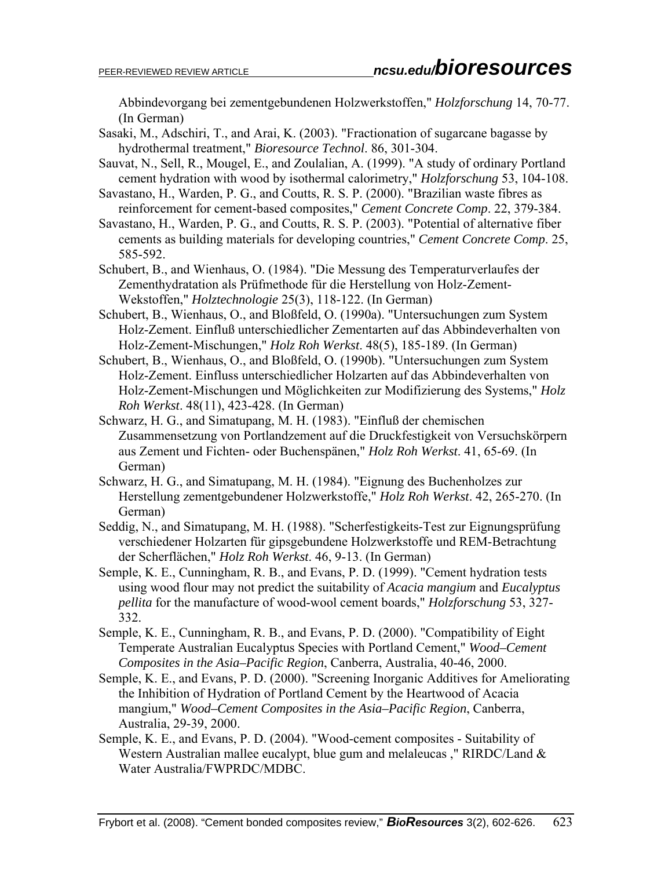Abbindevorgang bei zementgebundenen Holzwerkstoffen," *Holzforschung* 14, 70-77. (In German)

- Sasaki, M., Adschiri, T., and Arai, K. (2003). "Fractionation of sugarcane bagasse by hydrothermal treatment," *Bioresource Technol*. 86, 301-304.
- Sauvat, N., Sell, R., Mougel, E., and Zoulalian, A. (1999). "A study of ordinary Portland cement hydration with wood by isothermal calorimetry," *Holzforschung* 53, 104-108.
- Savastano, H., Warden, P. G., and Coutts, R. S. P. (2000). "Brazilian waste fibres as reinforcement for cement-based composites," *Cement Concrete Comp*. 22, 379-384.
- Savastano, H., Warden, P. G., and Coutts, R. S. P. (2003). "Potential of alternative fiber cements as building materials for developing countries," *Cement Concrete Comp*. 25, 585-592.
- Schubert, B., and Wienhaus, O. (1984). "Die Messung des Temperaturverlaufes der Zementhydratation als Prüfmethode für die Herstellung von Holz-Zement-Wekstoffen," *Holztechnologie* 25(3), 118-122. (In German)
- Schubert, B., Wienhaus, O., and Bloßfeld, O. (1990a). "Untersuchungen zum System Holz-Zement. Einfluß unterschiedlicher Zementarten auf das Abbindeverhalten von Holz-Zement-Mischungen," *Holz Roh Werkst*. 48(5), 185-189. (In German)
- Schubert, B., Wienhaus, O., and Bloßfeld, O. (1990b). "Untersuchungen zum System Holz-Zement. Einfluss unterschiedlicher Holzarten auf das Abbindeverhalten von Holz-Zement-Mischungen und Möglichkeiten zur Modifizierung des Systems," *Holz Roh Werkst*. 48(11), 423-428. (In German)
- Schwarz, H. G., and Simatupang, M. H. (1983). "Einfluß der chemischen Zusammensetzung von Portlandzement auf die Druckfestigkeit von Versuchskörpern aus Zement und Fichten- oder Buchenspänen," *Holz Roh Werkst*. 41, 65-69. (In German)
- Schwarz, H. G., and Simatupang, M. H. (1984). "Eignung des Buchenholzes zur Herstellung zementgebundener Holzwerkstoffe," *Holz Roh Werkst*. 42, 265-270. (In German)
- Seddig, N., and Simatupang, M. H. (1988). "Scherfestigkeits-Test zur Eignungsprüfung verschiedener Holzarten für gipsgebundene Holzwerkstoffe und REM-Betrachtung der Scherflächen," *Holz Roh Werkst*. 46, 9-13. (In German)
- Semple, K. E., Cunningham, R. B., and Evans, P. D. (1999). "Cement hydration tests using wood flour may not predict the suitability of *Acacia mangium* and *Eucalyptus pellita* for the manufacture of wood-wool cement boards," *Holzforschung* 53, 327- 332.
- Semple, K. E., Cunningham, R. B., and Evans, P. D. (2000). "Compatibility of Eight Temperate Australian Eucalyptus Species with Portland Cement," *Wood–Cement Composites in the Asia–Pacific Region*, Canberra, Australia, 40-46, 2000.
- Semple, K. E., and Evans, P. D. (2000). "Screening Inorganic Additives for Ameliorating the Inhibition of Hydration of Portland Cement by the Heartwood of Acacia mangium," *Wood–Cement Composites in the Asia–Pacific Region*, Canberra, Australia, 29-39, 2000.
- Semple, K. E., and Evans, P. D. (2004). "Wood-cement composites Suitability of Western Australian mallee eucalypt, blue gum and melaleucas," RIRDC/Land & Water Australia/FWPRDC/MDBC.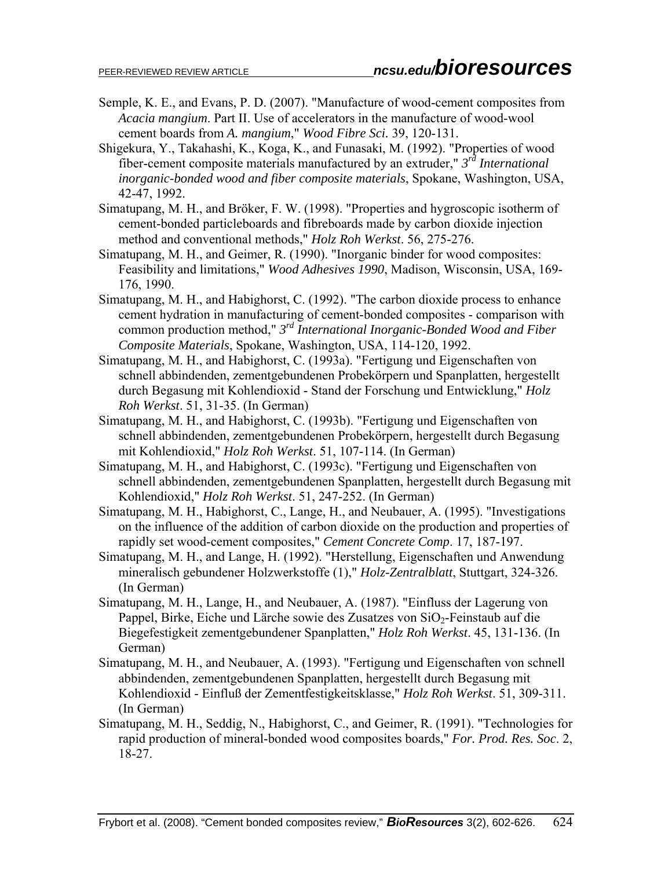- Semple, K. E., and Evans, P. D. (2007). "Manufacture of wood-cement composites from *Acacia mangium*. Part II. Use of accelerators in the manufacture of wood-wool cement boards from *A. mangium*," *Wood Fibre Sci.* 39, 120-131.
- Shigekura, Y., Takahashi, K., Koga, K., and Funasaki, M. (1992). "Properties of wood fiber-cement composite materials manufactured by an extruder," *3rd International inorganic-bonded wood and fiber composite materials*, Spokane, Washington, USA, 42-47, 1992.
- Simatupang, M. H., and Bröker, F. W. (1998). "Properties and hygroscopic isotherm of cement-bonded particleboards and fibreboards made by carbon dioxide injection method and conventional methods," *Holz Roh Werkst*. 56, 275-276.
- Simatupang, M. H., and Geimer, R. (1990). "Inorganic binder for wood composites: Feasibility and limitations," *Wood Adhesives 1990*, Madison, Wisconsin, USA, 169- 176, 1990.
- Simatupang, M. H., and Habighorst, C. (1992). "The carbon dioxide process to enhance cement hydration in manufacturing of cement-bonded composites - comparison with common production method," *3rd International Inorganic-Bonded Wood and Fiber Composite Materials*, Spokane, Washington, USA, 114-120, 1992.
- Simatupang, M. H., and Habighorst, C. (1993a). "Fertigung und Eigenschaften von schnell abbindenden, zementgebundenen Probekörpern und Spanplatten, hergestellt durch Begasung mit Kohlendioxid - Stand der Forschung und Entwicklung," *Holz Roh Werkst*. 51, 31-35. (In German)
- Simatupang, M. H., and Habighorst, C. (1993b). "Fertigung und Eigenschaften von schnell abbindenden, zementgebundenen Probekörpern, hergestellt durch Begasung mit Kohlendioxid," *Holz Roh Werkst*. 51, 107-114. (In German)
- Simatupang, M. H., and Habighorst, C. (1993c). "Fertigung und Eigenschaften von schnell abbindenden, zementgebundenen Spanplatten, hergestellt durch Begasung mit Kohlendioxid," *Holz Roh Werkst*. 51, 247-252. (In German)
- Simatupang, M. H., Habighorst, C., Lange, H., and Neubauer, A. (1995). "Investigations on the influence of the addition of carbon dioxide on the production and properties of rapidly set wood-cement composites," *Cement Concrete Comp*. 17, 187-197.
- Simatupang, M. H., and Lange, H. (1992). "Herstellung, Eigenschaften und Anwendung mineralisch gebundener Holzwerkstoffe (1)," *Holz-Zentralblatt*, Stuttgart, 324-326. (In German)
- Simatupang, M. H., Lange, H., and Neubauer, A. (1987). "Einfluss der Lagerung von Pappel, Birke, Eiche und Lärche sowie des Zusatzes von SiO<sub>2</sub>-Feinstaub auf die Biegefestigkeit zementgebundener Spanplatten," *Holz Roh Werkst*. 45, 131-136. (In German)
- Simatupang, M. H., and Neubauer, A. (1993). "Fertigung und Eigenschaften von schnell abbindenden, zementgebundenen Spanplatten, hergestellt durch Begasung mit Kohlendioxid - Einfluß der Zementfestigkeitsklasse," *Holz Roh Werkst*. 51, 309-311. (In German)
- Simatupang, M. H., Seddig, N., Habighorst, C., and Geimer, R. (1991). "Technologies for rapid production of mineral-bonded wood composites boards," *For. Prod. Res. Soc*. 2, 18-27.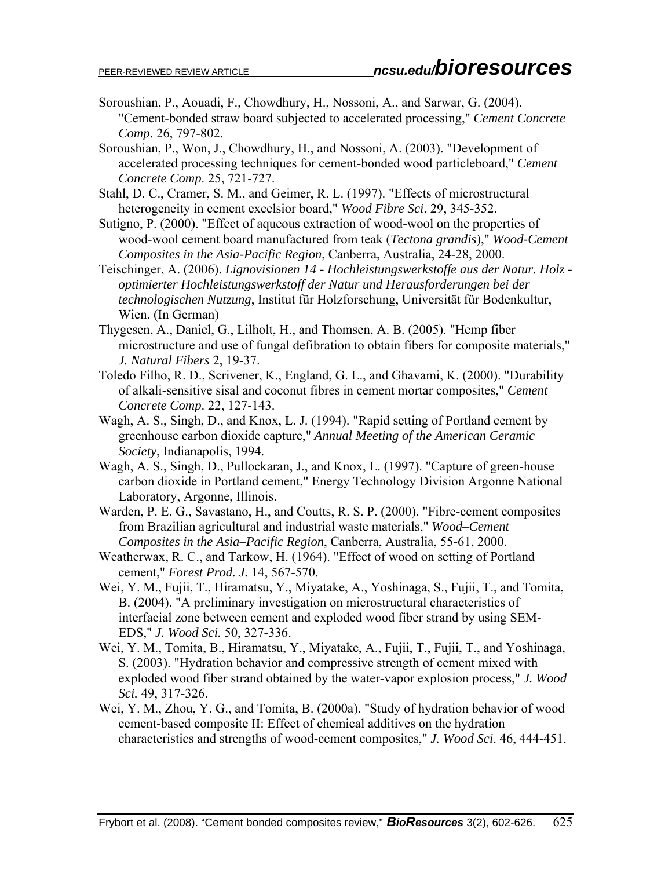- Soroushian, P., Aouadi, F., Chowdhury, H., Nossoni, A., and Sarwar, G. (2004). "Cement-bonded straw board subjected to accelerated processing," *Cement Concrete Comp*. 26, 797-802.
- Soroushian, P., Won, J., Chowdhury, H., and Nossoni, A. (2003). "Development of accelerated processing techniques for cement-bonded wood particleboard," *Cement Concrete Comp*. 25, 721-727.
- Stahl, D. C., Cramer, S. M., and Geimer, R. L. (1997). "Effects of microstructural heterogeneity in cement excelsior board," *Wood Fibre Sci*. 29, 345-352.
- Sutigno, P. (2000). "Effect of aqueous extraction of wood-wool on the properties of wood-wool cement board manufactured from teak (*Tectona grandis*)," *Wood-Cement Composites in the Asia-Pacific Region*, Canberra, Australia, 24-28, 2000.
- Teischinger, A. (2006). *Lignovisionen 14 Hochleistungswerkstoffe aus der Natur. Holz optimierter Hochleistungswerkstoff der Natur und Herausforderungen bei der technologischen Nutzung*, Institut für Holzforschung, Universität für Bodenkultur, Wien. (In German)
- Thygesen, A., Daniel, G., Lilholt, H., and Thomsen, A. B. (2005). "Hemp fiber microstructure and use of fungal defibration to obtain fibers for composite materials," *J. Natural Fibers* 2, 19-37.
- Toledo Filho, R. D., Scrivener, K., England, G. L., and Ghavami, K. (2000). "Durability of alkali-sensitive sisal and coconut fibres in cement mortar composites," *Cement Concrete Comp*. 22, 127-143.
- Wagh, A. S., Singh, D., and Knox, L. J. (1994). "Rapid setting of Portland cement by greenhouse carbon dioxide capture," *Annual Meeting of the American Ceramic Society*, Indianapolis, 1994.
- Wagh, A. S., Singh, D., Pullockaran, J., and Knox, L. (1997). "Capture of green-house carbon dioxide in Portland cement," Energy Technology Division Argonne National Laboratory, Argonne, Illinois.
- Warden, P. E. G., Savastano, H., and Coutts, R. S. P. (2000). "Fibre-cement composites from Brazilian agricultural and industrial waste materials," *Wood–Cement Composites in the Asia–Pacific Region*, Canberra, Australia, 55-61, 2000.
- Weatherwax, R. C., and Tarkow, H. (1964). "Effect of wood on setting of Portland cement," *Forest Prod. J.* 14, 567-570.
- Wei, Y. M., Fujii, T., Hiramatsu, Y., Miyatake, A., Yoshinaga, S., Fujii, T., and Tomita, B. (2004). "A preliminary investigation on microstructural characteristics of interfacial zone between cement and exploded wood fiber strand by using SEM-EDS," *J. Wood Sci.* 50, 327-336.
- Wei, Y. M., Tomita, B., Hiramatsu, Y., Miyatake, A., Fujii, T., Fujii, T., and Yoshinaga, S. (2003). "Hydration behavior and compressive strength of cement mixed with exploded wood fiber strand obtained by the water-vapor explosion process," *J. Wood Sci.* 49, 317-326.
- Wei, Y. M., Zhou, Y. G., and Tomita, B. (2000a). "Study of hydration behavior of wood cement-based composite II: Effect of chemical additives on the hydration characteristics and strengths of wood-cement composites," *J. Wood Sci*. 46, 444-451.